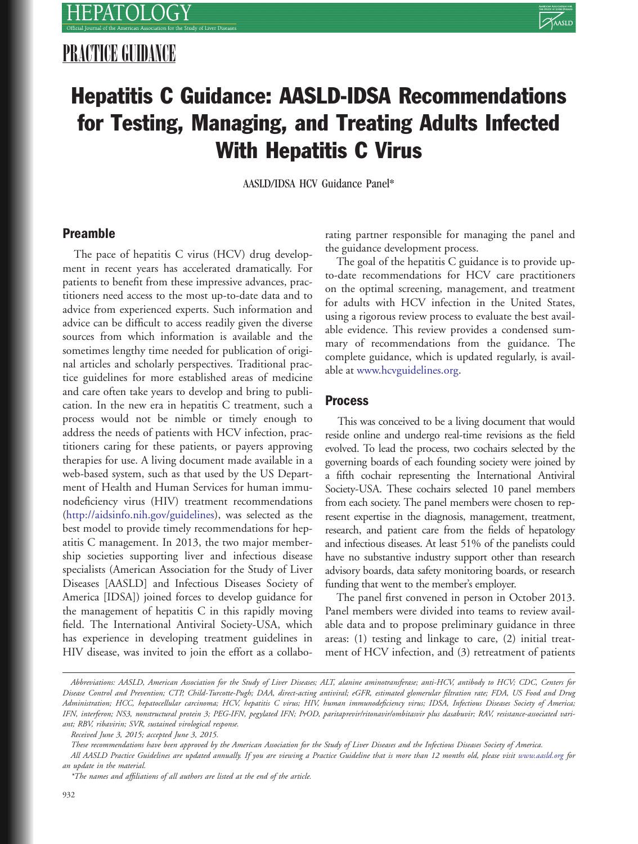# PRACTICE GUIDANCE



# Hepatitis C Guidance: AASLD-IDSA Recommendations for Testing, Managing, and Treating Adults Infected With Hepatitis C Virus

AASLD/IDSA HCV Guidance Panel\*

# Preamble

The pace of hepatitis C virus (HCV) drug development in recent years has accelerated dramatically. For patients to benefit from these impressive advances, practitioners need access to the most up-to-date data and to advice from experienced experts. Such information and advice can be difficult to access readily given the diverse sources from which information is available and the sometimes lengthy time needed for publication of original articles and scholarly perspectives. Traditional practice guidelines for more established areas of medicine and care often take years to develop and bring to publication. In the new era in hepatitis C treatment, such a process would not be nimble or timely enough to address the needs of patients with HCV infection, practitioners caring for these patients, or payers approving therapies for use. A living document made available in a web-based system, such as that used by the US Department of Health and Human Services for human immunodeficiency virus (HIV) treatment recommendations ([http://aidsinfo.nih.gov/guidelines\)](http://aidsinfo.nih.gov/guidelines), was selected as the best model to provide timely recommendations for hepatitis C management. In 2013, the two major membership societies supporting liver and infectious disease specialists (American Association for the Study of Liver Diseases [AASLD] and Infectious Diseases Society of America [IDSA]) joined forces to develop guidance for the management of hepatitis C in this rapidly moving field. The International Antiviral Society-USA, which has experience in developing treatment guidelines in HIV disease, was invited to join the effort as a collaborating partner responsible for managing the panel and the guidance development process.

The goal of the hepatitis C guidance is to provide upto-date recommendations for HCV care practitioners on the optimal screening, management, and treatment for adults with HCV infection in the United States, using a rigorous review process to evaluate the best available evidence. This review provides a condensed summary of recommendations from the guidance. The complete guidance, which is updated regularly, is available at [www.hcvguidelines.org.](http://www.hcvguidelines.org)

## **Process**

This was conceived to be a living document that would reside online and undergo real-time revisions as the field evolved. To lead the process, two cochairs selected by the governing boards of each founding society were joined by a fifth cochair representing the International Antiviral Society-USA. These cochairs selected 10 panel members from each society. The panel members were chosen to represent expertise in the diagnosis, management, treatment, research, and patient care from the fields of hepatology and infectious diseases. At least 51% of the panelists could have no substantive industry support other than research advisory boards, data safety monitoring boards, or research funding that went to the member's employer.

The panel first convened in person in October 2013. Panel members were divided into teams to review available data and to propose preliminary guidance in three areas: (1) testing and linkage to care, (2) initial treatment of HCV infection, and (3) retreatment of patients

Abbreviations: AASLD, American Association for the Study of Liver Diseases; ALT, alanine aminotransferase; anti-HCV, antibody to HCV; CDC, Centers for Disease Control and Prevention; CTP, Child-Turcotte-Pugh; DAA, direct-acting antiviral; eGFR, estimated glomerular filtration rate; FDA, US Food and Drug Administration; HCC, hepatocellular carcinoma; HCV, hepatitis C virus; HIV, human immunodeficiency virus; IDSA, Infectious Diseases Society of America; IFN, interferon; NS3, nonstructural protein 3; PEG-IFN, pegylated IFN; PrOD, paritaprevir/ritonavir/ombitasvir plus dasabuvir; RAV, resistance-associated variant; RBV, ribavirin; SVR, sustained virological response.

Received June 3, 2015; accepted June 3, 2015.

These recommendations have been approved by the American Association for the Study of Liver Diseases and the Infectious Diseases Society of America.

All AASLD Practice Guidelines are updated annually. If you are viewing a Practice Guideline that is more than 12 months old, please visit [www.aasld.org](http://www.aasld.org) for an update in the material.

<sup>\*</sup>The names and affiliations of all authors are listed at the end of the article.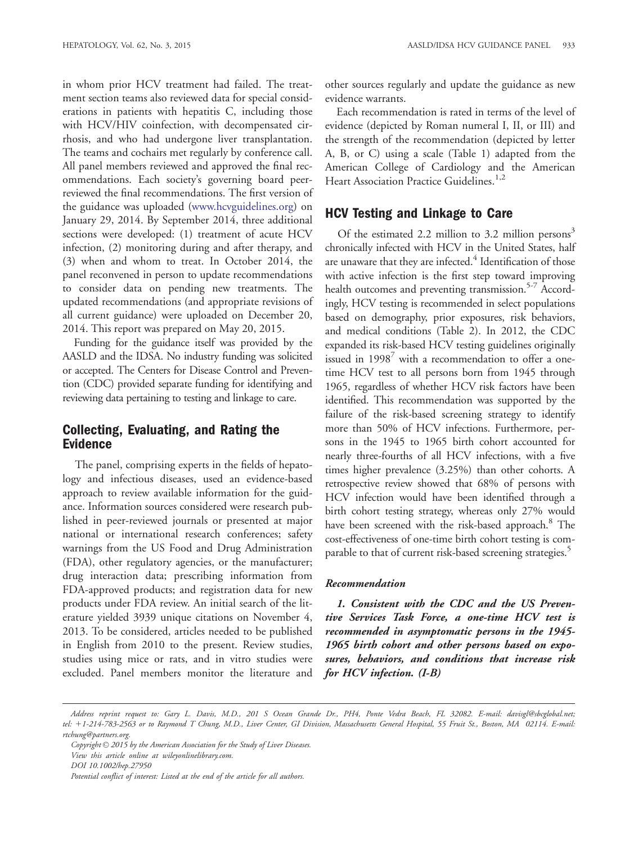in whom prior HCV treatment had failed. The treatment section teams also reviewed data for special considerations in patients with hepatitis C, including those with HCV/HIV coinfection, with decompensated cirrhosis, and who had undergone liver transplantation. The teams and cochairs met regularly by conference call. All panel members reviewed and approved the final recommendations. Each society's governing board peerreviewed the final recommendations. The first version of the guidance was uploaded [\(www.hcvguidelines.org\)](http://www.hcvguidelines.org) on January 29, 2014. By September 2014, three additional sections were developed: (1) treatment of acute HCV infection, (2) monitoring during and after therapy, and (3) when and whom to treat. In October 2014, the panel reconvened in person to update recommendations to consider data on pending new treatments. The updated recommendations (and appropriate revisions of all current guidance) were uploaded on December 20, 2014. This report was prepared on May 20, 2015.

Funding for the guidance itself was provided by the AASLD and the IDSA. No industry funding was solicited or accepted. The Centers for Disease Control and Prevention (CDC) provided separate funding for identifying and reviewing data pertaining to testing and linkage to care.

# Collecting, Evaluating, and Rating the Evidence

The panel, comprising experts in the fields of hepatology and infectious diseases, used an evidence-based approach to review available information for the guidance. Information sources considered were research published in peer-reviewed journals or presented at major national or international research conferences; safety warnings from the US Food and Drug Administration (FDA), other regulatory agencies, or the manufacturer; drug interaction data; prescribing information from FDA-approved products; and registration data for new products under FDA review. An initial search of the literature yielded 3939 unique citations on November 4, 2013. To be considered, articles needed to be published in English from 2010 to the present. Review studies, studies using mice or rats, and in vitro studies were excluded. Panel members monitor the literature and other sources regularly and update the guidance as new evidence warrants.

Each recommendation is rated in terms of the level of evidence (depicted by Roman numeral I, II, or III) and the strength of the recommendation (depicted by letter A, B, or C) using a scale (Table 1) adapted from the American College of Cardiology and the American Heart Association Practice Guidelines.<sup>1,2</sup>

# HCV Testing and Linkage to Care

Of the estimated 2.2 million to 3.2 million persons<sup>3</sup> chronically infected with HCV in the United States, half are unaware that they are infected.<sup>4</sup> Identification of those with active infection is the first step toward improving health outcomes and preventing transmission.<sup>5-7</sup> Accordingly, HCV testing is recommended in select populations based on demography, prior exposures, risk behaviors, and medical conditions (Table 2). In 2012, the CDC expanded its risk-based HCV testing guidelines originally issued in  $1998<sup>7</sup>$  with a recommendation to offer a onetime HCV test to all persons born from 1945 through 1965, regardless of whether HCV risk factors have been identified. This recommendation was supported by the failure of the risk-based screening strategy to identify more than 50% of HCV infections. Furthermore, persons in the 1945 to 1965 birth cohort accounted for nearly three-fourths of all HCV infections, with a five times higher prevalence (3.25%) than other cohorts. A retrospective review showed that 68% of persons with HCV infection would have been identified through a birth cohort testing strategy, whereas only 27% would have been screened with the risk-based approach.<sup>8</sup> The cost-effectiveness of one-time birth cohort testing is comparable to that of current risk-based screening strategies.<sup>5</sup>

#### Recommendation

1. Consistent with the CDC and the US Preventive Services Task Force, a one-time HCV test is recommended in asymptomatic persons in the 1945- 1965 birth cohort and other persons based on exposures, behaviors, and conditions that increase risk for HCV infection. (I-B)

Address reprint request to: Gary L. Davis, M.D., 201 S Ocean Grande Dr., PH4, Ponte Vedra Beach, FL 32082. E-mail: davisgl@sbcglobal.net; tel: 11-214-783-2563 or to Raymond T Chung, M.D., Liver Center, GI Division, Massachusetts General Hospital, 55 Fruit St., Boston, MA 02114. E-mail: rtchung@partners.org.

Copyright  $\odot$  2015 by the American Association for the Study of Liver Diseases. View this article online at wileyonlinelibrary.com. DOI 10.1002/hep.27950

Potential conflict of interest: Listed at the end of the article for all authors.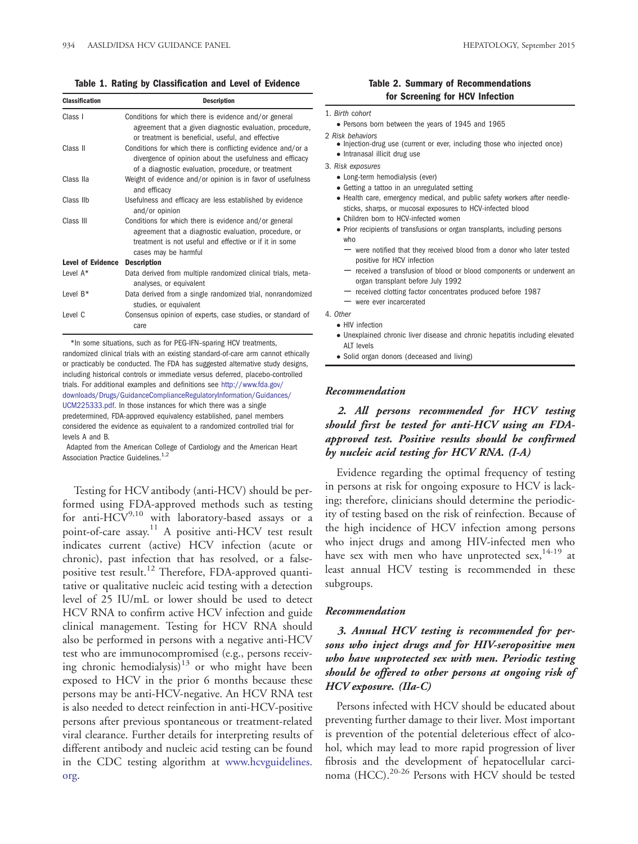#### Table 1. Rating by Classification and Level of Evidence

| <b>Classification</b>    | <b>Description</b>                                                                                                                                                                               |
|--------------------------|--------------------------------------------------------------------------------------------------------------------------------------------------------------------------------------------------|
| Class I                  | Conditions for which there is evidence and/or general<br>agreement that a given diagnostic evaluation, procedure,<br>or treatment is beneficial, useful, and effective                           |
| Class II                 | Conditions for which there is conflicting evidence and/or a<br>divergence of opinion about the usefulness and efficacy<br>of a diagnostic evaluation, procedure, or treatment                    |
| Class IIa                | Weight of evidence and/or opinion is in favor of usefulness<br>and efficacy                                                                                                                      |
| Class IIb                | Usefulness and efficacy are less established by evidence<br>and/or opinion                                                                                                                       |
| Class III                | Conditions for which there is evidence and/or general<br>agreement that a diagnostic evaluation, procedure, or<br>treatment is not useful and effective or if it in some<br>cases may be harmful |
| <b>Level of Evidence</b> | <b>Description</b>                                                                                                                                                                               |
| $level A*$               | Data derived from multiple randomized clinical trials, meta-<br>analyses, or equivalent                                                                                                          |
| Level $B^*$              | Data derived from a single randomized trial, nonrandomized<br>studies, or equivalent                                                                                                             |
| Level C                  | Consensus opinion of experts, case studies, or standard of<br>care                                                                                                                               |

\*In some situations, such as for PEG-IFN–sparing HCV treatments, randomized clinical trials with an existing standard-of-care arm cannot ethically or practicably be conducted. The FDA has suggested alternative study designs, including historical controls or immediate versus deferred, placebo-controlled trials. For additional examples and definitions see [http://www.fda.gov/](http://www.fda.gov/downloads/Drugs/GuidanceComplianceRegulatoryInformation/Guidances/UCM225333.pdf) [downloads/Drugs/GuidanceComplianceRegulatoryInformation/Guidances/](http://www.fda.gov/downloads/Drugs/GuidanceComplianceRegulatoryInformation/Guidances/UCM225333.pdf) [UCM225333.pdf.](http://www.fda.gov/downloads/Drugs/GuidanceComplianceRegulatoryInformation/Guidances/UCM225333.pdf) In those instances for which there was a single predetermined, FDA-approved equivalency established, panel members considered the evidence as equivalent to a randomized controlled trial for levels A and B.

Adapted from the American College of Cardiology and the American Heart Association Practice Guidelines.<sup>1,2</sup>

Testing for HCV antibody (anti-HCV) should be performed using FDA-approved methods such as testing for anti-HCV $9,10$  with laboratory-based assays or a point-of-care assay.<sup>11</sup> A positive anti-HCV test result indicates current (active) HCV infection (acute or chronic), past infection that has resolved, or a falsepositive test result.<sup>12</sup> Therefore, FDA-approved quantitative or qualitative nucleic acid testing with a detection level of 25 IU/mL or lower should be used to detect HCV RNA to confirm active HCV infection and guide clinical management. Testing for HCV RNA should also be performed in persons with a negative anti-HCV test who are immunocompromised (e.g., persons receiving chronic hemodialysis)<sup>13</sup> or who might have been exposed to HCV in the prior 6 months because these persons may be anti-HCV-negative. An HCV RNA test is also needed to detect reinfection in anti-HCV-positive persons after previous spontaneous or treatment-related viral clearance. Further details for interpreting results of different antibody and nucleic acid testing can be found in the CDC testing algorithm at [www.hcvguidelines.](http://www.hcvguidelines.org) [org.](http://www.hcvguidelines.org)

## Table 2. Summary of Recommendations for Screening for HCV Infection

1. Birth cohort

- Persons born between the years of 1945 and 1965

2 Risk behaviors

- Injection-drug use (current or ever, including those who injected once)
- Intranasal illicit drug use

3. Risk exposures

- Long-term hemodialysis (ever)
- Getting a tattoo in an unregulated setting
- Health care, emergency medical, and public safety workers after needlesticks, sharps, or mucosal exposures to HCV-infected blood
- Children born to HCV-infected women
- Prior recipients of transfusions or organ transplants, including persons who
- were notified that they received blood from a donor who later tested positive for HCV infection
- received a transfusion of blood or blood components or underwent an organ transplant before July 1992
- received clotting factor concentrates produced before 1987

— were ever incarcerated

- 4. Other
	- HIV infection
	- Unexplained chronic liver disease and chronic hepatitis including elevated ALT levels

- Solid organ donors (deceased and living)

#### Recommendation

# 2. All persons recommended for HCV testing should first be tested for anti-HCV using an FDAapproved test. Positive results should be confirmed by nucleic acid testing for HCV RNA. (I-A)

Evidence regarding the optimal frequency of testing in persons at risk for ongoing exposure to HCV is lacking; therefore, clinicians should determine the periodicity of testing based on the risk of reinfection. Because of the high incidence of HCV infection among persons who inject drugs and among HIV-infected men who have sex with men who have unprotected sex,  $14-19$  at least annual HCV testing is recommended in these subgroups.

#### Recommendation

3. Annual HCV testing is recommended for persons who inject drugs and for HIV-seropositive men who have unprotected sex with men. Periodic testing should be offered to other persons at ongoing risk of HCV exposure. (IIa-C)

Persons infected with HCV should be educated about preventing further damage to their liver. Most important is prevention of the potential deleterious effect of alcohol, which may lead to more rapid progression of liver fibrosis and the development of hepatocellular carcinoma (HCC).<sup>20-26</sup> Persons with HCV should be tested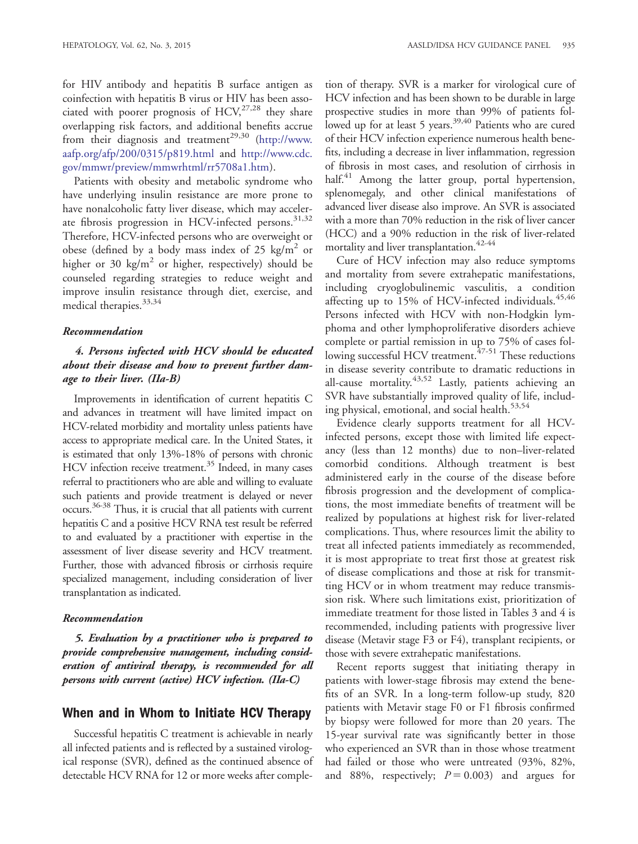for HIV antibody and hepatitis B surface antigen as coinfection with hepatitis B virus or HIV has been associated with poorer prognosis of  $HCV$ ,<sup>27,28</sup> they share overlapping risk factors, and additional benefits accrue from their diagnosis and treatment<sup>29,30</sup> ([http://www.](http://www.aafp.org/afp/200/0315/p819.html) [aafp.org/afp/200/0315/p819.html](http://www.aafp.org/afp/200/0315/p819.html) and [http://www.cdc.](http://www.cdc.gov/mmwr/preview/mmwrhtml/rr5708a1.htm) [gov/mmwr/preview/mmwrhtml/rr5708a1.htm\)](http://www.cdc.gov/mmwr/preview/mmwrhtml/rr5708a1.htm).

Patients with obesity and metabolic syndrome who have underlying insulin resistance are more prone to have nonalcoholic fatty liver disease, which may accelerate fibrosis progression in HCV-infected persons.<sup>31,32</sup> Therefore, HCV-infected persons who are overweight or obese (defined by a body mass index of 25 kg/m<sup>2</sup> or higher or 30 kg/ $m^2$  or higher, respectively) should be counseled regarding strategies to reduce weight and improve insulin resistance through diet, exercise, and medical therapies.<sup>33,34</sup>

#### Recommendation

# 4. Persons infected with HCV should be educated about their disease and how to prevent further damage to their liver. (IIa-B)

Improvements in identification of current hepatitis C and advances in treatment will have limited impact on HCV-related morbidity and mortality unless patients have access to appropriate medical care. In the United States, it is estimated that only 13%-18% of persons with chronic HCV infection receive treatment.<sup>35</sup> Indeed, in many cases referral to practitioners who are able and willing to evaluate such patients and provide treatment is delayed or never occurs.36-38 Thus, it is crucial that all patients with current hepatitis C and a positive HCV RNA test result be referred to and evaluated by a practitioner with expertise in the assessment of liver disease severity and HCV treatment. Further, those with advanced fibrosis or cirrhosis require specialized management, including consideration of liver transplantation as indicated.

## Recommendation

5. Evaluation by a practitioner who is prepared to provide comprehensive management, including consideration of antiviral therapy, is recommended for all persons with current (active) HCV infection. (IIa-C)

# When and in Whom to Initiate HCV Therapy

Successful hepatitis C treatment is achievable in nearly all infected patients and is reflected by a sustained virological response (SVR), defined as the continued absence of detectable HCV RNA for 12 or more weeks after comple-

tion of therapy. SVR is a marker for virological cure of HCV infection and has been shown to be durable in large prospective studies in more than 99% of patients followed up for at least 5 years.<sup>39,40</sup> Patients who are cured of their HCV infection experience numerous health benefits, including a decrease in liver inflammation, regression of fibrosis in most cases, and resolution of cirrhosis in half.<sup>41</sup> Among the latter group, portal hypertension, splenomegaly, and other clinical manifestations of advanced liver disease also improve. An SVR is associated with a more than 70% reduction in the risk of liver cancer (HCC) and a 90% reduction in the risk of liver-related mortality and liver transplantation.<sup>42-44</sup>

Cure of HCV infection may also reduce symptoms and mortality from severe extrahepatic manifestations, including cryoglobulinemic vasculitis, a condition affecting up to 15% of HCV-infected individuals.<sup>45,46</sup> Persons infected with HCV with non-Hodgkin lymphoma and other lymphoproliferative disorders achieve complete or partial remission in up to 75% of cases following successful HCV treatment.<sup>47-51</sup> These reductions in disease severity contribute to dramatic reductions in all-cause mortality.43,52 Lastly, patients achieving an SVR have substantially improved quality of life, including physical, emotional, and social health.<sup>53,54</sup>

Evidence clearly supports treatment for all HCVinfected persons, except those with limited life expectancy (less than 12 months) due to non–liver-related comorbid conditions. Although treatment is best administered early in the course of the disease before fibrosis progression and the development of complications, the most immediate benefits of treatment will be realized by populations at highest risk for liver-related complications. Thus, where resources limit the ability to treat all infected patients immediately as recommended, it is most appropriate to treat first those at greatest risk of disease complications and those at risk for transmitting HCV or in whom treatment may reduce transmission risk. Where such limitations exist, prioritization of immediate treatment for those listed in Tables 3 and 4 is recommended, including patients with progressive liver disease (Metavir stage F3 or F4), transplant recipients, or those with severe extrahepatic manifestations.

Recent reports suggest that initiating therapy in patients with lower-stage fibrosis may extend the benefits of an SVR. In a long-term follow-up study, 820 patients with Metavir stage F0 or F1 fibrosis confirmed by biopsy were followed for more than 20 years. The 15-year survival rate was significantly better in those who experienced an SVR than in those whose treatment had failed or those who were untreated (93%, 82%, and 88%, respectively;  $P = 0.003$ ) and argues for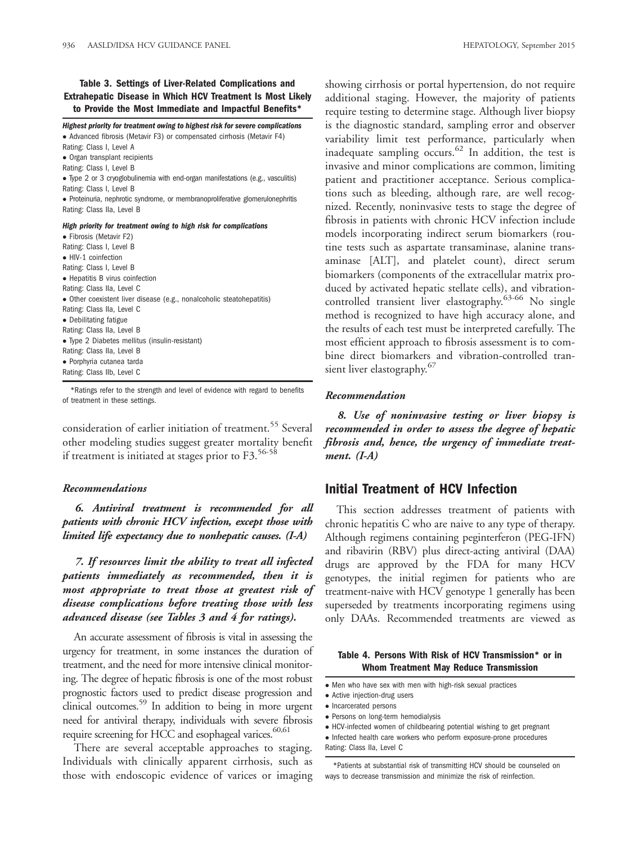## Table 3. Settings of Liver-Related Complications and Extrahepatic Disease in Which HCV Treatment Is Most Likely to Provide the Most Immediate and Impactful Benefits\*

Highest priority for treatment owing to highest risk for severe complications - Advanced fibrosis (Metavir F3) or compensated cirrhosis (Metavir F4) Rating: Class I, Level A - Organ transplant recipients Rating: Class I, Level B - Type 2 or 3 cryoglobulinemia with end-organ manifestations (e.g., vasculitis) Rating: Class I, Level B - Proteinuria, nephrotic syndrome, or membranoproliferative glomerulonephritis Rating: Class IIa, Level B High priority for treatment owing to high risk for complications • Fibrosis (Metavir F2) Rating: Class I, Level B • HIV-1 coinfection Rating: Class I, Level B - Hepatitis B virus coinfection Rating: Class IIa, Level C - Other coexistent liver disease (e.g., nonalcoholic steatohepatitis) Rating: Class IIa, Level C

• Debilitating fatigue Rating: Class IIa, Level B - Type 2 Diabetes mellitus (insulin-resistant) Rating: Class IIa, Level B - Porphyria cutanea tarda Rating: Class IIb, Level C

\*Ratings refer to the strength and level of evidence with regard to benefits of treatment in these settings.

consideration of earlier initiation of treatment.<sup>55</sup> Several other modeling studies suggest greater mortality benefit if treatment is initiated at stages prior to  $F3$ .<sup>56-58</sup>

#### Recommendations

6. Antiviral treatment is recommended for all patients with chronic HCV infection, except those with limited life expectancy due to nonhepatic causes. (I-A)

7. If resources limit the ability to treat all infected patients immediately as recommended, then it is most appropriate to treat those at greatest risk of disease complications before treating those with less advanced disease (see Tables 3 and 4 for ratings).

An accurate assessment of fibrosis is vital in assessing the urgency for treatment, in some instances the duration of treatment, and the need for more intensive clinical monitoring. The degree of hepatic fibrosis is one of the most robust prognostic factors used to predict disease progression and clinical outcomes.<sup>59</sup> In addition to being in more urgent need for antiviral therapy, individuals with severe fibrosis require screening for HCC and esophageal varices.<sup>60,61</sup>

There are several acceptable approaches to staging. Individuals with clinically apparent cirrhosis, such as those with endoscopic evidence of varices or imaging

showing cirrhosis or portal hypertension, do not require additional staging. However, the majority of patients require testing to determine stage. Although liver biopsy is the diagnostic standard, sampling error and observer variability limit test performance, particularly when inadequate sampling occurs.<sup>62</sup> In addition, the test is invasive and minor complications are common, limiting patient and practitioner acceptance. Serious complications such as bleeding, although rare, are well recognized. Recently, noninvasive tests to stage the degree of fibrosis in patients with chronic HCV infection include models incorporating indirect serum biomarkers (routine tests such as aspartate transaminase, alanine transaminase [ALT], and platelet count), direct serum biomarkers (components of the extracellular matrix produced by activated hepatic stellate cells), and vibrationcontrolled transient liver elastography.<sup>63-66</sup> No single method is recognized to have high accuracy alone, and the results of each test must be interpreted carefully. The most efficient approach to fibrosis assessment is to combine direct biomarkers and vibration-controlled transient liver elastography.<sup>67</sup>

#### Recommendation

8. Use of noninvasive testing or liver biopsy is recommended in order to assess the degree of hepatic fibrosis and, hence, the urgency of immediate treatment. (I-A)

# Initial Treatment of HCV Infection

This section addresses treatment of patients with chronic hepatitis C who are naive to any type of therapy. Although regimens containing peginterferon (PEG-IFN) and ribavirin (RBV) plus direct-acting antiviral (DAA) drugs are approved by the FDA for many HCV genotypes, the initial regimen for patients who are treatment-naive with HCV genotype 1 generally has been superseded by treatments incorporating regimens using only DAAs. Recommended treatments are viewed as

## Table 4. Persons With Risk of HCV Transmission\* or in Whom Treatment May Reduce Transmission

- Men who have sex with men with high-risk sexual practices
- Active injection-drug users
- Incarcerated persons
- Persons on long-term hemodialysis
- HCV-infected women of childbearing potential wishing to get pregnant - Infected health care workers who perform exposure-prone procedures Rating: Class IIa, Level C

<sup>\*</sup>Patients at substantial risk of transmitting HCV should be counseled on ways to decrease transmission and minimize the risk of reinfection.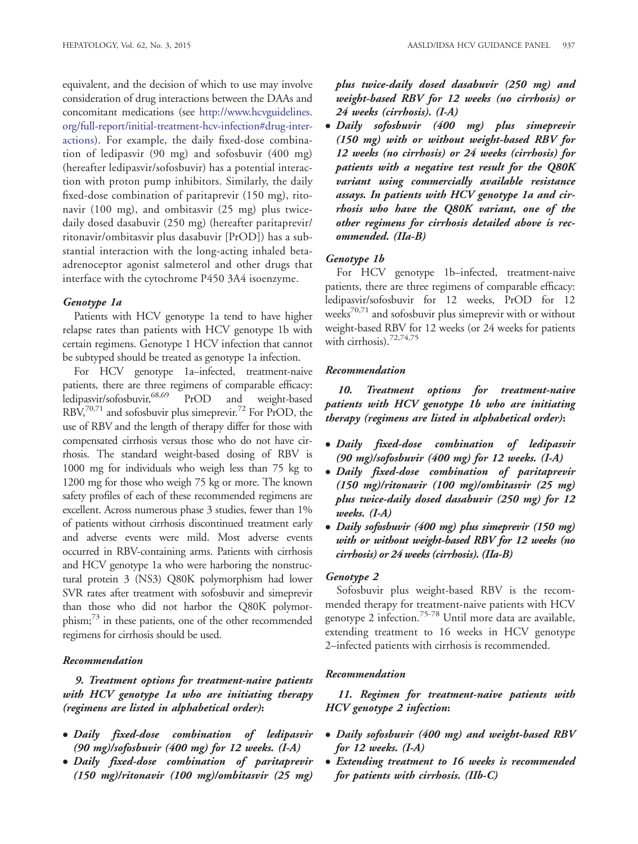equivalent, and the decision of which to use may involve consideration of drug interactions between the DAAs and concomitant medications (see [http://www.hcvguidelines.](http://www.hcvguidelines.org/full-report/initial-treatment-hcv-infection#drug-interactions) [org/full-report/initial-treatment-hcv-infection#drug-inter](http://www.hcvguidelines.org/full-report/initial-treatment-hcv-infection#drug-interactions)[actions](http://www.hcvguidelines.org/full-report/initial-treatment-hcv-infection#drug-interactions)). For example, the daily fixed-dose combination of ledipasvir (90 mg) and sofosbuvir (400 mg) (hereafter ledipasvir/sofosbuvir) has a potential interaction with proton pump inhibitors. Similarly, the daily fixed-dose combination of paritaprevir (150 mg), ritonavir (100 mg), and ombitasvir (25 mg) plus twicedaily dosed dasabuvir (250 mg) (hereafter paritaprevir/ ritonavir/ombitasvir plus dasabuvir [PrOD]) has a substantial interaction with the long-acting inhaled betaadrenoceptor agonist salmeterol and other drugs that interface with the cytochrome P450 3A4 isoenzyme.

## Genotype 1a

Patients with HCV genotype 1a tend to have higher relapse rates than patients with HCV genotype 1b with certain regimens. Genotype 1 HCV infection that cannot be subtyped should be treated as genotype 1a infection.

For HCV genotype 1a–infected, treatment-naive patients, there are three regimens of comparable efficacy: ledipasvir/sofosbuvir,68,69 PrOD and weight-based RBV,70,71 and sofosbuvir plus simeprevir.72 For PrOD, the use of RBV and the length of therapy differ for those with compensated cirrhosis versus those who do not have cirrhosis. The standard weight-based dosing of RBV is 1000 mg for individuals who weigh less than 75 kg to 1200 mg for those who weigh 75 kg or more. The known safety profiles of each of these recommended regimens are excellent. Across numerous phase 3 studies, fewer than 1% of patients without cirrhosis discontinued treatment early and adverse events were mild. Most adverse events occurred in RBV-containing arms. Patients with cirrhosis and HCV genotype 1a who were harboring the nonstructural protein 3 (NS3) Q80K polymorphism had lower SVR rates after treatment with sofosbuvir and simeprevir than those who did not harbor the Q80K polymorphism;<sup>73</sup> in these patients, one of the other recommended regimens for cirrhosis should be used.

## Recommendation

9. Treatment options for treatment-naive patients with HCV genotype 1a who are initiating therapy (regimens are listed in alphabetical order):

- Daily fixed-dose combination of ledipasvir (90 mg)/sofosbuvir (400 mg) for 12 weeks. (I-A)
- Daily fixed-dose combination of paritaprevir (150 mg)/ritonavir (100 mg)/ombitasvir (25 mg)

plus twice-daily dosed dasabuvir (250 mg) and weight-based RBV for 12 weeks (no cirrhosis) or 24 weeks (cirrhosis). (I-A)

- Daily sofosbuvir (400 mg) plus simeprevir (150 mg) with or without weight-based RBV for 12 weeks (no cirrhosis) or 24 weeks (cirrhosis) for patients with a negative test result for the Q80K variant using commercially available resistance assays. In patients with HCV genotype 1a and cirrhosis who have the Q80K variant, one of the other regimens for cirrhosis detailed above is recommended. (IIa-B)

# Genotype 1b

For HCV genotype 1b–infected, treatment-naive patients, there are three regimens of comparable efficacy: ledipasvir/sofosbuvir for 12 weeks, PrOD for 12 weeks<sup>70,71</sup> and sofosbuvir plus simeprevir with or without weight-based RBV for 12 weeks (or 24 weeks for patients with cirrhosis).<sup>72,74,75</sup>

## Recommendation

10. Treatment options for treatment-naive patients with HCV genotype 1b who are initiating therapy (regimens are listed in alphabetical order):

- Daily fixed-dose combination of ledipasvir (90 mg)/sofosbuvir (400 mg) for 12 weeks. (I-A)
- Daily fixed-dose combination of paritaprevir (150 mg)/ritonavir (100 mg)/ombitasvir (25 mg) plus twice-daily dosed dasabuvir (250 mg) for 12 weeks. (I-A)
- Daily sofosbuvir (400 mg) plus simeprevir (150 mg) with or without weight-based RBV for 12 weeks (no cirrhosis) or 24 weeks (cirrhosis). (IIa-B)

## Genotype 2

Sofosbuvir plus weight-based RBV is the recommended therapy for treatment-naive patients with HCV genotype 2 infection.75-78 Until more data are available, extending treatment to 16 weeks in HCV genotype 2–infected patients with cirrhosis is recommended.

## Recommendation

11. Regimen for treatment-naive patients with HCV genotype 2 infection:

- Daily sofosbuvir (400 mg) and weight-based RBV for 12 weeks. (I-A)
- Extending treatment to 16 weeks is recommended for patients with cirrhosis. (IIb-C)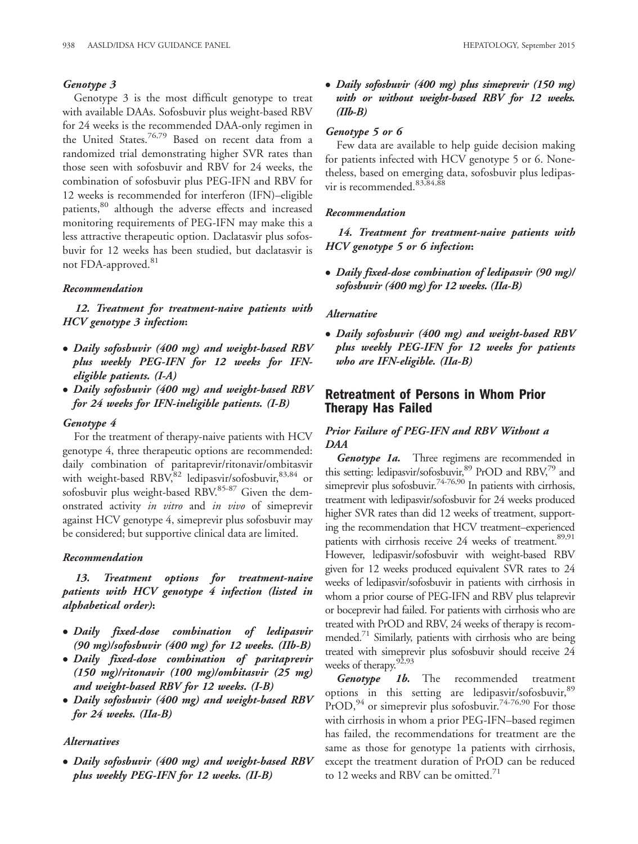## Genotype 3

Genotype 3 is the most difficult genotype to treat with available DAAs. Sofosbuvir plus weight-based RBV for 24 weeks is the recommended DAA-only regimen in the United States.<sup>76,79</sup> Based on recent data from a randomized trial demonstrating higher SVR rates than those seen with sofosbuvir and RBV for 24 weeks, the combination of sofosbuvir plus PEG-IFN and RBV for 12 weeks is recommended for interferon (IFN)–eligible patients,<sup>80</sup> although the adverse effects and increased monitoring requirements of PEG-IFN may make this a less attractive therapeutic option. Daclatasvir plus sofosbuvir for 12 weeks has been studied, but daclatasvir is not FDA-approved.<sup>81</sup>

## Recommendation

12. Treatment for treatment-naive patients with HCV genotype 3 infection:

- Daily sofosbuvir (400 mg) and weight-based RBV plus weekly PEG-IFN for 12 weeks for IFNeligible patients. (I-A)
- Daily sofosbuvir (400 mg) and weight-based RBV for 24 weeks for IFN-ineligible patients. (I-B)

#### Genotype 4

For the treatment of therapy-naive patients with HCV genotype 4, three therapeutic options are recommended: daily combination of paritaprevir/ritonavir/ombitasvir with weight-based RBV,<sup>82</sup> ledipasvir/sofosbuvir,<sup>83,84</sup> or sofosbuvir plus weight-based RBV.85-87 Given the demonstrated activity in vitro and in vivo of simeprevir against HCV genotype 4, simeprevir plus sofosbuvir may be considered; but supportive clinical data are limited.

## Recommendation

13. Treatment options for treatment-naive patients with HCV genotype 4 infection (listed in alphabetical order):

- Daily fixed-dose combination of ledipasvir (90 mg)/sofosbuvir (400 mg) for 12 weeks. (IIb-B)
- Daily fixed-dose combination of paritaprevir (150 mg)/ritonavir (100 mg)/ombitasvir (25 mg) and weight-based RBV for 12 weeks. (I-B)
- Daily sofosbuvir (400 mg) and weight-based RBV for 24 weeks. (IIa-B)

#### **Alternatives**

• Daily sofosbuvir (400 mg) and weight-based RBV plus weekly PEG-IFN for 12 weeks. (II-B)

- Daily sofosbuvir (400 mg) plus simeprevir (150 mg) with or without weight-based RBV for 12 weeks.  $(IIb-B)$ 

## Genotype 5 or 6

Few data are available to help guide decision making for patients infected with HCV genotype 5 or 6. Nonetheless, based on emerging data, sofosbuvir plus ledipasvir is recommended.<sup>83,84,88</sup>

## Recommendation

14. Treatment for treatment-naive patients with HCV genotype 5 or 6 infection:

- Daily fixed-dose combination of ledipasvir (90 mg)/ sofosbuvir (400 mg) for 12 weeks. (IIa-B)

#### Alternative

• Daily sofosbuvir (400 mg) and weight-based RBV plus weekly PEG-IFN for 12 weeks for patients who are IFN-eligible. (IIa-B)

# Retreatment of Persons in Whom Prior Therapy Has Failed

# Prior Failure of PEG-IFN and RBV Without a DAA

Genotype 1a. Three regimens are recommended in this setting: ledipasvir/sofosbuvir,<sup>89</sup> PrOD and RBV,<sup>79</sup> and simeprevir plus sofosbuvir.<sup>74-76,90</sup> In patients with cirrhosis, treatment with ledipasvir/sofosbuvir for 24 weeks produced higher SVR rates than did 12 weeks of treatment, supporting the recommendation that HCV treatment–experienced patients with cirrhosis receive 24 weeks of treatment.<sup>89,91</sup> However, ledipasvir/sofosbuvir with weight-based RBV given for 12 weeks produced equivalent SVR rates to 24 weeks of ledipasvir/sofosbuvir in patients with cirrhosis in whom a prior course of PEG-IFN and RBV plus telaprevir or boceprevir had failed. For patients with cirrhosis who are treated with PrOD and RBV, 24 weeks of therapy is recommended. $71$  Similarly, patients with cirrhosis who are being treated with simeprevir plus sofosbuvir should receive 24 weeks of therapy.<sup>92,93</sup>

Genotype 1b. The recommended treatment options in this setting are ledipasvir/sofosbuvir, 89  $\text{PrOD,}^{94}$  or simeprevir plus sofosbuvir.<sup>74-76,90</sup> For those with cirrhosis in whom a prior PEG-IFN–based regimen has failed, the recommendations for treatment are the same as those for genotype 1a patients with cirrhosis, except the treatment duration of PrOD can be reduced to 12 weeks and RBV can be omitted.<sup>71</sup>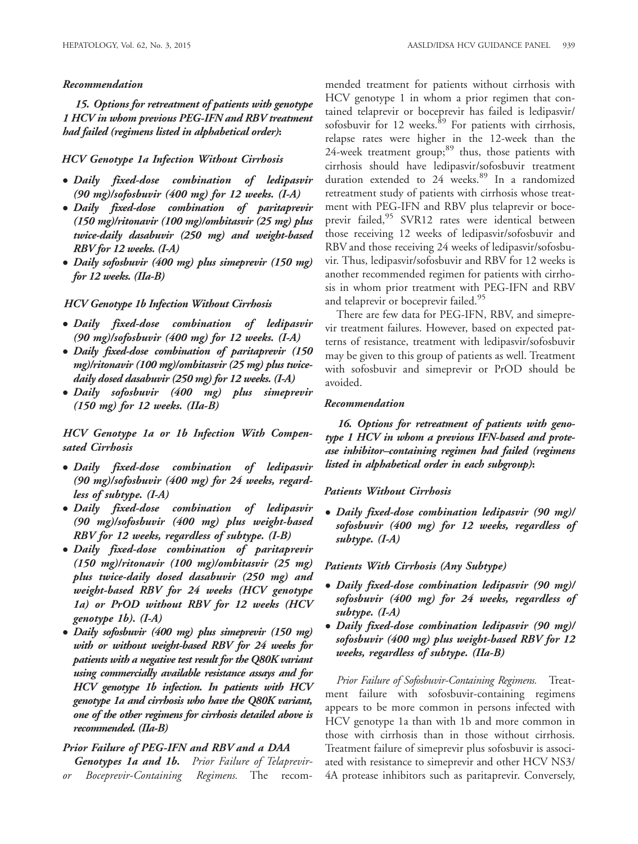## Recommendation

15. Options for retreatment of patients with genotype 1 HCV in whom previous PEG-IFN and RBV treatment had failed (regimens listed in alphabetical order):

## HCV Genotype 1a Infection Without Cirrhosis

- Daily fixed-dose combination of ledipasvir (90 mg)/sofosbuvir (400 mg) for 12 weeks. (I-A)
- Daily fixed-dose combination of paritaprevir (150 mg)/ritonavir (100 mg)/ombitasvir (25 mg) plus twice-daily dasabuvir (250 mg) and weight-based RBV for 12 weeks. (I-A)
- Daily sofosbuvir (400 mg) plus simeprevir (150 mg) for 12 weeks. (IIa-B)

## HCV Genotype 1b Infection Without Cirrhosis

- Daily fixed-dose combination of ledipasvir (90 mg)/sofosbuvir (400 mg) for 12 weeks. (I-A)
- Daily fixed-dose combination of paritaprevir (150 mg)/ritonavir (100 mg)/ombitasvir (25 mg) plus twicedaily dosed dasabuvir (250 mg) for 12 weeks. (I-A)
- Daily sofosbuvir (400 mg) plus simeprevir (150 mg) for 12 weeks. (IIa-B)

HCV Genotype 1a or 1b Infection With Compensated Cirrhosis

- Daily fixed-dose combination of ledipasvir (90 mg)/sofosbuvir (400 mg) for 24 weeks, regardless of subtype. (I-A)
- Daily fixed-dose combination of ledipasvir (90 mg)/sofosbuvir (400 mg) plus weight-based RBV for 12 weeks, regardless of subtype. (I-B)
- Daily fixed-dose combination of paritaprevir (150 mg)/ritonavir (100 mg)/ombitasvir (25 mg) plus twice-daily dosed dasabuvir (250 mg) and weight-based RBV for 24 weeks (HCV genotype 1a) or PrOD without RBV for 12 weeks (HCV genotype 1b). (I-A)
- Daily sofosbuvir (400 mg) plus simeprevir (150 mg) with or without weight-based RBV for 24 weeks for patients with a negative test result for the Q80K variant using commercially available resistance assays and for HCV genotype 1b infection. In patients with HCV genotype 1a and cirrhosis who have the Q80K variant, one of the other regimens for cirrhosis detailed above is recommended. (IIa-B)

## Prior Failure of PEG-IFN and RBV and a DAA

Genotypes 1a and 1b. Prior Failure of Telapreviror Boceprevir-Containing Regimens. The recom-

mended treatment for patients without cirrhosis with HCV genotype 1 in whom a prior regimen that contained telaprevir or boceprevir has failed is ledipasvir/ sofosbuvir for 12 weeks. $89$  For patients with cirrhosis, relapse rates were higher in the 12-week than the  $24$ -week treatment group;<sup>89</sup> thus, those patients with cirrhosis should have ledipasvir/sofosbuvir treatment duration extended to 24 weeks.<sup>89</sup> In a randomized retreatment study of patients with cirrhosis whose treatment with PEG-IFN and RBV plus telaprevir or boceprevir failed, <sup>95</sup> SVR12 rates were identical between those receiving 12 weeks of ledipasvir/sofosbuvir and RBV and those receiving 24 weeks of ledipasvir/sofosbuvir. Thus, ledipasvir/sofosbuvir and RBV for 12 weeks is another recommended regimen for patients with cirrhosis in whom prior treatment with PEG-IFN and RBV and telaprevir or boceprevir failed.<sup>95</sup>

There are few data for PEG-IFN, RBV, and simeprevir treatment failures. However, based on expected patterns of resistance, treatment with ledipasvir/sofosbuvir may be given to this group of patients as well. Treatment with sofosbuvir and simeprevir or PrOD should be avoided.

#### Recommendation

16. Options for retreatment of patients with genotype 1 HCV in whom a previous IFN-based and protease inhibitor–containing regimen had failed (regimens listed in alphabetical order in each subgroup):

## Patients Without Cirrhosis

- Daily fixed-dose combination ledipasvir (90 mg)/ sofosbuvir (400 mg) for 12 weeks, regardless of subtype. (I-A)

Patients With Cirrhosis (Any Subtype)

- Daily fixed-dose combination ledipasvir (90 mg)/ sofosbuvir (400 mg) for 24 weeks, regardless of subtype. (I-A)
- Daily fixed-dose combination ledipasvir (90 mg)/ sofosbuvir (400 mg) plus weight-based RBV for 12 weeks, regardless of subtype. (IIa-B)

Prior Failure of Sofosbuvir-Containing Regimens. Treatment failure with sofosbuvir-containing regimens appears to be more common in persons infected with HCV genotype 1a than with 1b and more common in those with cirrhosis than in those without cirrhosis. Treatment failure of simeprevir plus sofosbuvir is associated with resistance to simeprevir and other HCV NS3/ 4A protease inhibitors such as paritaprevir. Conversely,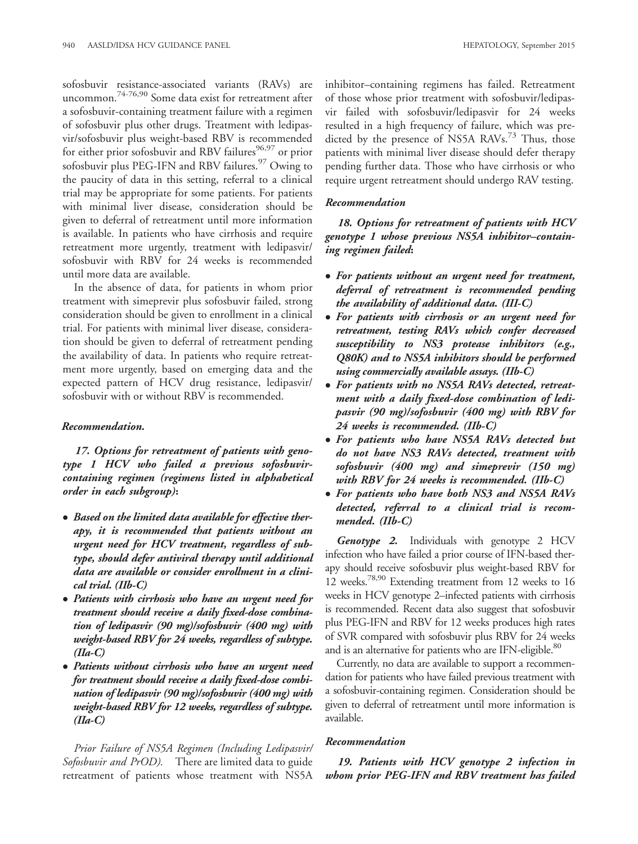sofosbuvir resistance-associated variants (RAVs) are uncommon.74-76,90 Some data exist for retreatment after a sofosbuvir-containing treatment failure with a regimen of sofosbuvir plus other drugs. Treatment with ledipasvir/sofosbuvir plus weight-based RBV is recommended for either prior sofosbuvir and RBV failures $96,97$  or prior sofosbuvir plus PEG-IFN and RBV failures.<sup>97</sup> Owing to the paucity of data in this setting, referral to a clinical trial may be appropriate for some patients. For patients with minimal liver disease, consideration should be given to deferral of retreatment until more information is available. In patients who have cirrhosis and require retreatment more urgently, treatment with ledipasvir/ sofosbuvir with RBV for 24 weeks is recommended until more data are available.

In the absence of data, for patients in whom prior treatment with simeprevir plus sofosbuvir failed, strong consideration should be given to enrollment in a clinical trial. For patients with minimal liver disease, consideration should be given to deferral of retreatment pending the availability of data. In patients who require retreatment more urgently, based on emerging data and the expected pattern of HCV drug resistance, ledipasvir/ sofosbuvir with or without RBV is recommended.

#### Recommendation.

17. Options for retreatment of patients with genotype 1 HCV who failed a previous sofosbuvircontaining regimen (regimens listed in alphabetical order in each subgroup):

- Based on the limited data available for effective therapy, it is recommended that patients without an urgent need for HCV treatment, regardless of subtype, should defer antiviral therapy until additional data are available or consider enrollment in a clinical trial. (IIb-C)
- Patients with cirrhosis who have an urgent need for treatment should receive a daily fixed-dose combination of ledipasvir (90 mg)/sofosbuvir (400 mg) with weight-based RBV for 24 weeks, regardless of subtype.  $(IIa-C)$
- Patients without cirrhosis who have an urgent need for treatment should receive a daily fixed-dose combination of ledipasvir (90 mg)/sofosbuvir (400 mg) with weight-based RBV for 12 weeks, regardless of subtype.  $(IIa-C)$

Prior Failure of NS5A Regimen (Including Ledipasvir/ Sofosbuvir and PrOD). There are limited data to guide retreatment of patients whose treatment with NS5A inhibitor–containing regimens has failed. Retreatment of those whose prior treatment with sofosbuvir/ledipasvir failed with sofosbuvir/ledipasvir for 24 weeks resulted in a high frequency of failure, which was predicted by the presence of NS5A  $RAVs.<sup>73</sup>$  Thus, those patients with minimal liver disease should defer therapy pending further data. Those who have cirrhosis or who require urgent retreatment should undergo RAV testing.

## Recommendation

18. Options for retreatment of patients with HCV genotype 1 whose previous NS5A inhibitor–containing regimen failed:

- For patients without an urgent need for treatment, deferral of retreatment is recommended pending the availability of additional data. (III-C)
- For patients with cirrhosis or an urgent need for retreatment, testing RAVs which confer decreased susceptibility to NS3 protease inhibitors (e.g., Q80K) and to NS5A inhibitors should be performed using commercially available assays. (IIb-C)
- For patients with no NS5A RAVs detected, retreatment with a daily fixed-dose combination of ledipasvir (90 mg)/sofosbuvir (400 mg) with RBV for 24 weeks is recommended. (IIb-C)
- For patients who have NS5A RAVs detected but do not have NS3 RAVs detected, treatment with sofosbuvir (400 mg) and simeprevir (150 mg) with RBV for 24 weeks is recommended. (IIb-C)
- For patients who have both NS3 and NS5A RAVs detected, referral to a clinical trial is recommended. (IIb-C)

**Genotype 2.** Individuals with genotype 2 HCV infection who have failed a prior course of IFN-based therapy should receive sofosbuvir plus weight-based RBV for 12 weeks.78,90 Extending treatment from 12 weeks to 16 weeks in HCV genotype 2–infected patients with cirrhosis is recommended. Recent data also suggest that sofosbuvir plus PEG-IFN and RBV for 12 weeks produces high rates of SVR compared with sofosbuvir plus RBV for 24 weeks and is an alternative for patients who are IFN-eligible.<sup>80</sup>

Currently, no data are available to support a recommendation for patients who have failed previous treatment with a sofosbuvir-containing regimen. Consideration should be given to deferral of retreatment until more information is available.

### Recommendation

19. Patients with HCV genotype 2 infection in whom prior PEG-IFN and RBV treatment has failed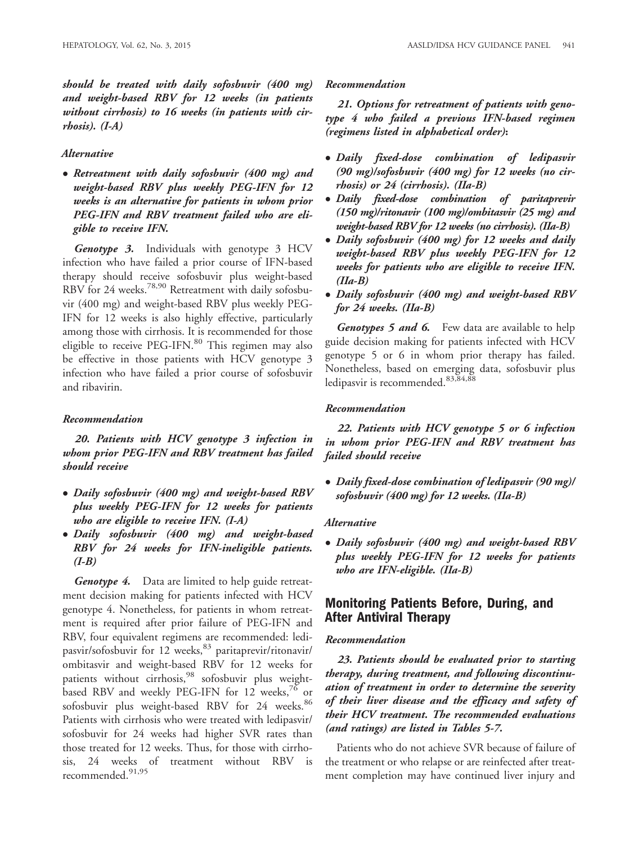should be treated with daily sofosbuvir (400 mg) and weight-based RBV for 12 weeks (in patients without cirrhosis) to 16 weeks (in patients with cirrhosis). (I-A)

#### Alternative

• Retreatment with daily sofosbuvir (400 mg) and weight-based RBV plus weekly PEG-IFN for 12 weeks is an alternative for patients in whom prior PEG-IFN and RBV treatment failed who are eligible to receive IFN.

**Genotype 3.** Individuals with genotype 3 HCV infection who have failed a prior course of IFN-based therapy should receive sofosbuvir plus weight-based RBV for 24 weeks.<sup>78,90</sup> Retreatment with daily sofosbuvir (400 mg) and weight-based RBV plus weekly PEG-IFN for 12 weeks is also highly effective, particularly among those with cirrhosis. It is recommended for those eligible to receive PEG-IFN.<sup>80</sup> This regimen may also be effective in those patients with HCV genotype 3 infection who have failed a prior course of sofosbuvir and ribavirin.

#### Recommendation

20. Patients with HCV genotype 3 infection in whom prior PEG-IFN and RBV treatment has failed should receive

- Daily sofosbuvir (400 mg) and weight-based RBV plus weekly PEG-IFN for 12 weeks for patients who are eligible to receive IFN. (I-A)
- Daily sofosbuvir (400 mg) and weight-based RBV for 24 weeks for IFN-ineligible patients.  $(I-B)$

Genotype 4. Data are limited to help guide retreatment decision making for patients infected with HCV genotype 4. Nonetheless, for patients in whom retreatment is required after prior failure of PEG-IFN and RBV, four equivalent regimens are recommended: ledipasvir/sofosbuvir for 12 weeks, <sup>83</sup> paritaprevir/ritonavir/ ombitasvir and weight-based RBV for 12 weeks for patients without cirrhosis,<sup>98</sup> sofosbuvir plus weightbased RBV and weekly PEG-IFN for 12 weeks,<sup>76</sup> or sofosbuvir plus weight-based RBV for 24 weeks.<sup>86</sup> Patients with cirrhosis who were treated with ledipasvir/ sofosbuvir for 24 weeks had higher SVR rates than those treated for 12 weeks. Thus, for those with cirrhosis, 24 weeks of treatment without RBV is recommended.<sup>91,95</sup>

#### Recommendation

21. Options for retreatment of patients with genotype 4 who failed a previous IFN-based regimen (regimens listed in alphabetical order):

- Daily fixed-dose combination of ledipasvir (90 mg)/sofosbuvir (400 mg) for 12 weeks (no cirrhosis) or 24 (cirrhosis). (IIa-B)
- Daily fixed-dose combination of paritaprevir (150 mg)/ritonavir (100 mg)/ombitasvir (25 mg) and weight-based RBV for 12 weeks (no cirrhosis). (IIa-B)
- Daily sofosbuvir (400 mg) for 12 weeks and daily weight-based RBV plus weekly PEG-IFN for 12 weeks for patients who are eligible to receive IFN.  $(IIa-B)$
- Daily sofosbuvir (400 mg) and weight-based RBV for 24 weeks. (IIa-B)

**Genotypes 5 and 6.** Few data are available to help guide decision making for patients infected with HCV genotype 5 or 6 in whom prior therapy has failed. Nonetheless, based on emerging data, sofosbuvir plus ledipasvir is recommended.<sup>83,84,88</sup>

## Recommendation

22. Patients with HCV genotype 5 or 6 infection in whom prior PEG-IFN and RBV treatment has failed should receive

- Daily fixed-dose combination of ledipasvir (90 mg)/ sofosbuvir (400 mg) for 12 weeks. (IIa-B)

#### Alternative

- Daily sofosbuvir (400 mg) and weight-based RBV plus weekly PEG-IFN for 12 weeks for patients who are IFN-eligible. (IIa-B)

# Monitoring Patients Before, During, and After Antiviral Therapy

## Recommendation

23. Patients should be evaluated prior to starting therapy, during treatment, and following discontinuation of treatment in order to determine the severity of their liver disease and the efficacy and safety of their HCV treatment. The recommended evaluations (and ratings) are listed in Tables 5-7.

Patients who do not achieve SVR because of failure of the treatment or who relapse or are reinfected after treatment completion may have continued liver injury and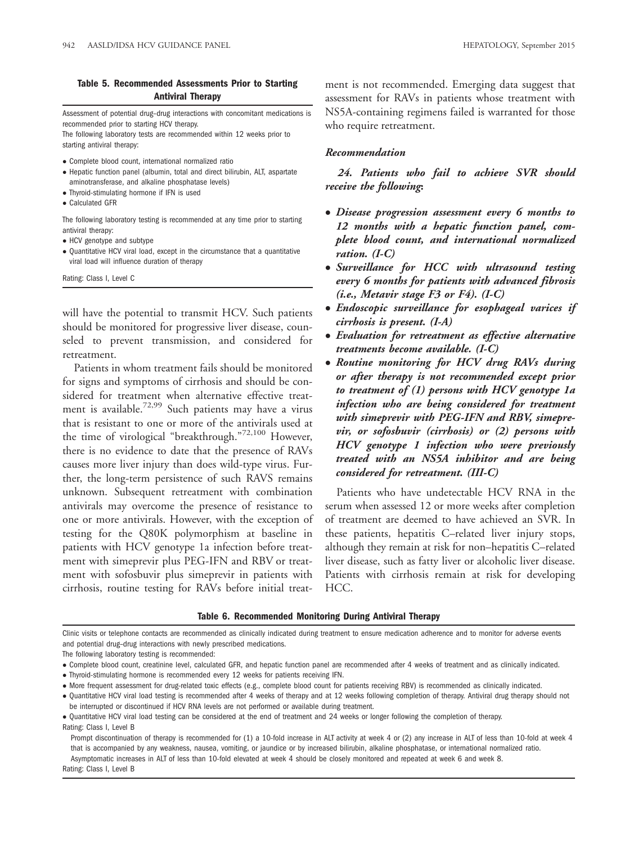## Table 5. Recommended Assessments Prior to Starting Antiviral Therapy

Assessment of potential drug–drug interactions with concomitant medications is recommended prior to starting HCV therapy.

The following laboratory tests are recommended within 12 weeks prior to starting antiviral therapy:

- Complete blood count, international normalized ratio
- Hepatic function panel (albumin, total and direct bilirubin, ALT, aspartate aminotransferase, and alkaline phosphatase levels)
- Thyroid-stimulating hormone if IFN is used
- Calculated GFR

The following laboratory testing is recommended at any time prior to starting antiviral therapy:

- HCV genotype and subtype
- Quantitative HCV viral load, except in the circumstance that a quantitative viral load will influence duration of therapy
- Rating: Class I, Level C

will have the potential to transmit HCV. Such patients should be monitored for progressive liver disease, counseled to prevent transmission, and considered for retreatment.

Patients in whom treatment fails should be monitored for signs and symptoms of cirrhosis and should be considered for treatment when alternative effective treatment is available.<sup>72,99</sup> Such patients may have a virus that is resistant to one or more of the antivirals used at the time of virological "breakthrough."72,100 However, there is no evidence to date that the presence of RAVs causes more liver injury than does wild-type virus. Further, the long-term persistence of such RAVS remains unknown. Subsequent retreatment with combination antivirals may overcome the presence of resistance to one or more antivirals. However, with the exception of testing for the Q80K polymorphism at baseline in patients with HCV genotype 1a infection before treatment with simeprevir plus PEG-IFN and RBV or treatment with sofosbuvir plus simeprevir in patients with cirrhosis, routine testing for RAVs before initial treatment is not recommended. Emerging data suggest that assessment for RAVs in patients whose treatment with NS5A-containing regimens failed is warranted for those who require retreatment.

## Recommendation

24. Patients who fail to achieve SVR should receive the following:

- Disease progression assessment every 6 months to 12 months with a hepatic function panel, complete blood count, and international normalized ration. (I-C)
- Surveillance for HCC with ultrasound testing every 6 months for patients with advanced fibrosis  $(i.e., Metavir stage F3 or F4).$   $(I-C)$
- Endoscopic surveillance for esophageal varices if cirrhosis is present. (I-A)
- Evaluation for retreatment as effective alternative treatments become available. (I-C)
- Routine monitoring for HCV drug RAVs during or after therapy is not recommended except prior to treatment of  $(1)$  persons with HCV genotype 1a infection who are being considered for treatment with simeprevir with PEG-IFN and RBV, simeprevir, or sofosbuvir (cirrhosis) or (2) persons with HCV genotype 1 infection who were previously treated with an NS5A inhibitor and are being considered for retreatment. (III-C)

Patients who have undetectable HCV RNA in the serum when assessed 12 or more weeks after completion of treatment are deemed to have achieved an SVR. In these patients, hepatitis C–related liver injury stops, although they remain at risk for non–hepatitis C–related liver disease, such as fatty liver or alcoholic liver disease. Patients with cirrhosis remain at risk for developing HCC.

#### Table 6. Recommended Monitoring During Antiviral Therapy

The following laboratory testing is recommended:

Clinic visits or telephone contacts are recommended as clinically indicated during treatment to ensure medication adherence and to monitor for adverse events and potential drug–drug interactions with newly prescribed medications.

<sup>-</sup> Complete blood count, creatinine level, calculated GFR, and hepatic function panel are recommended after 4 weeks of treatment and as clinically indicated.

<sup>-</sup> Thyroid-stimulating hormone is recommended every 12 weeks for patients receiving IFN.

<sup>-</sup> More frequent assessment for drug-related toxic effects (e.g., complete blood count for patients receiving RBV) is recommended as clinically indicated.

<sup>-</sup> Quantitative HCV viral load testing is recommended after 4 weeks of therapy and at 12 weeks following completion of therapy. Antiviral drug therapy should not be interrupted or discontinued if HCV RNA levels are not performed or available during treatment.

<sup>-</sup> Quantitative HCV viral load testing can be considered at the end of treatment and 24 weeks or longer following the completion of therapy.

Rating: Class I, Level B

Prompt discontinuation of therapy is recommended for (1) a 10-fold increase in ALT activity at week 4 or (2) any increase in ALT of less than 10-fold at week 4 that is accompanied by any weakness, nausea, vomiting, or jaundice or by increased bilirubin, alkaline phosphatase, or international normalized ratio. Asymptomatic increases in ALT of less than 10-fold elevated at week 4 should be closely monitored and repeated at week 6 and week 8.

Rating: Class I, Level B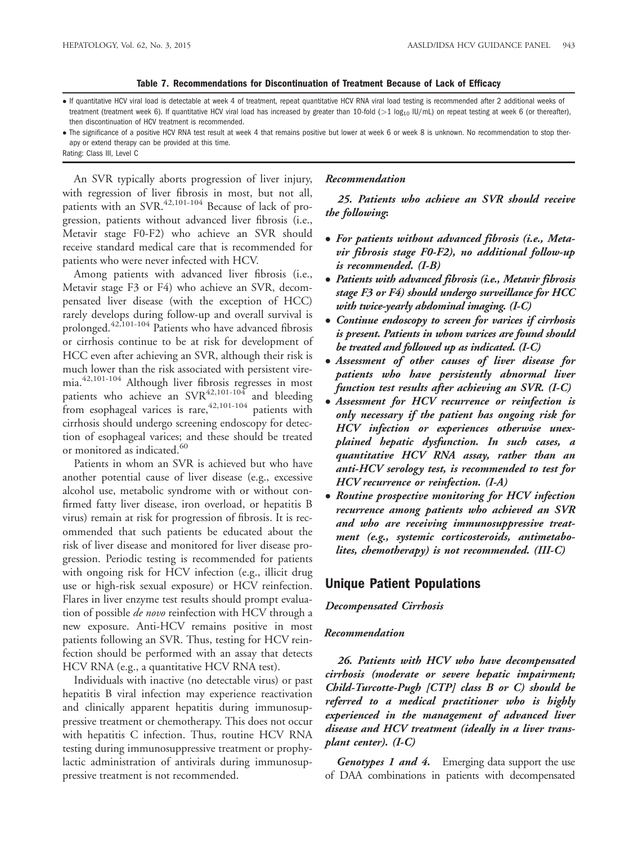#### Table 7. Recommendations for Discontinuation of Treatment Because of Lack of Efficacy

- If quantitative HCV viral load is detectable at week 4 of treatment, repeat quantitative HCV RNA viral load testing is recommended after 2 additional weeks of treatment (treatment week 6). If quantitative HCV viral load has increased by greater than 10-fold ( $>1$  log<sub>10</sub> IU/mL) on repeat testing at week 6 (or thereafter), then discontinuation of HCV treatment is recommended.
- The significance of a positive HCV RNA test result at week 4 that remains positive but lower at week 6 or week 8 is unknown. No recommendation to stop therapy or extend therapy can be provided at this time.

Rating: Class III, Level C

An SVR typically aborts progression of liver injury, with regression of liver fibrosis in most, but not all, patients with an SVR. $42,101-104$  Because of lack of progression, patients without advanced liver fibrosis (i.e., Metavir stage F0-F2) who achieve an SVR should receive standard medical care that is recommended for patients who were never infected with HCV.

Among patients with advanced liver fibrosis (i.e., Metavir stage F3 or F4) who achieve an SVR, decompensated liver disease (with the exception of HCC) rarely develops during follow-up and overall survival is prolonged.42,101-104 Patients who have advanced fibrosis or cirrhosis continue to be at risk for development of HCC even after achieving an SVR, although their risk is much lower than the risk associated with persistent viremia.42,101-104 Although liver fibrosis regresses in most patients who achieve an  $SVR^{42,101-104}$  and bleeding from esophageal varices is rare,  $42,101-104$  patients with cirrhosis should undergo screening endoscopy for detection of esophageal varices; and these should be treated or monitored as indicated.<sup>60</sup>

Patients in whom an SVR is achieved but who have another potential cause of liver disease (e.g., excessive alcohol use, metabolic syndrome with or without confirmed fatty liver disease, iron overload, or hepatitis B virus) remain at risk for progression of fibrosis. It is recommended that such patients be educated about the risk of liver disease and monitored for liver disease progression. Periodic testing is recommended for patients with ongoing risk for HCV infection (e.g., illicit drug use or high-risk sexual exposure) or HCV reinfection. Flares in liver enzyme test results should prompt evaluation of possible *de novo* reinfection with HCV through a new exposure. Anti-HCV remains positive in most patients following an SVR. Thus, testing for HCV reinfection should be performed with an assay that detects HCV RNA (e.g., a quantitative HCV RNA test).

Individuals with inactive (no detectable virus) or past hepatitis B viral infection may experience reactivation and clinically apparent hepatitis during immunosuppressive treatment or chemotherapy. This does not occur with hepatitis C infection. Thus, routine HCV RNA testing during immunosuppressive treatment or prophylactic administration of antivirals during immunosuppressive treatment is not recommended.

#### Recommendation

25. Patients who achieve an SVR should receive the following:

- For patients without advanced fibrosis (i.e., Metavir fibrosis stage F0-F2), no additional follow-up is recommended. (I-B)
- Patients with advanced fibrosis (i.e., Metavir fibrosis stage F3 or F4) should undergo surveillance for HCC with twice-yearly abdominal imaging. (I-C)
- Continue endoscopy to screen for varices if cirrhosis is present. Patients in whom varices are found should be treated and followed up as indicated. (I-C)
- $\bullet$  Assessment of other causes of liver disease for patients who have persistently abnormal liver function test results after achieving an SVR. (I-C)
- $\bullet$  Assessment for HCV recurrence or reinfection is only necessary if the patient has ongoing risk for HCV infection or experiences otherwise unexplained hepatic dysfunction. In such cases, a quantitative HCV RNA assay, rather than an anti-HCV serology test, is recommended to test for HCV recurrence or reinfection. (I-A)
- **Routine prospective monitoring for HCV infection** recurrence among patients who achieved an SVR and who are receiving immunosuppressive treatment (e.g., systemic corticosteroids, antimetabolites, chemotherapy) is not recommended. (III-C)

# Unique Patient Populations

## Decompensated Cirrhosis

#### Recommendation

26. Patients with HCV who have decompensated cirrhosis (moderate or severe hepatic impairment; Child-Turcotte-Pugh [CTP] class B or C) should be referred to a medical practitioner who is highly experienced in the management of advanced liver disease and HCV treatment (ideally in a liver transplant center). (I-C)

**Genotypes 1 and 4.** Emerging data support the use of DAA combinations in patients with decompensated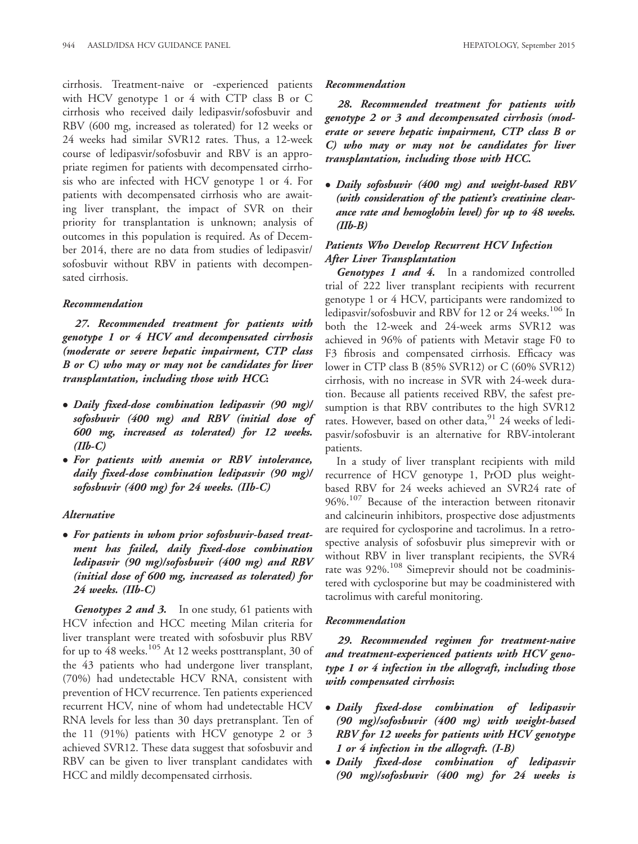cirrhosis. Treatment-naive or -experienced patients with HCV genotype 1 or 4 with CTP class B or C cirrhosis who received daily ledipasvir/sofosbuvir and RBV (600 mg, increased as tolerated) for 12 weeks or 24 weeks had similar SVR12 rates. Thus, a 12-week course of ledipasvir/sofosbuvir and RBV is an appropriate regimen for patients with decompensated cirrhosis who are infected with HCV genotype 1 or 4. For patients with decompensated cirrhosis who are awaiting liver transplant, the impact of SVR on their priority for transplantation is unknown; analysis of outcomes in this population is required. As of December 2014, there are no data from studies of ledipasvir/ sofosbuvir without RBV in patients with decompensated cirrhosis.

#### Recommendation

27. Recommended treatment for patients with genotype 1 or 4 HCV and decompensated cirrhosis (moderate or severe hepatic impairment, CTP class B or C) who may or may not be candidates for liver transplantation, including those with HCC:

- Daily fixed-dose combination ledipasvir (90 mg)/ sofosbuvir (400 mg) and RBV (initial dose of 600 mg, increased as tolerated) for 12 weeks.  $(IIb-C)$
- For patients with anemia or RBV intolerance, daily fixed-dose combination ledipasvir (90 mg)/ sofosbuvir (400 mg) for 24 weeks. (IIb-C)

## Alternative

- For patients in whom prior sofosbuvir-based treatment has failed, daily fixed-dose combination ledipasvir (90 mg)/sofosbuvir (400 mg) and RBV (initial dose of 600 mg, increased as tolerated) for 24 weeks. (IIb-C)

Genotypes 2 and 3. In one study, 61 patients with HCV infection and HCC meeting Milan criteria for liver transplant were treated with sofosbuvir plus RBV for up to 48 weeks.<sup>105</sup> At 12 weeks posttransplant, 30 of the 43 patients who had undergone liver transplant, (70%) had undetectable HCV RNA, consistent with prevention of HCV recurrence. Ten patients experienced recurrent HCV, nine of whom had undetectable HCV RNA levels for less than 30 days pretransplant. Ten of the 11 (91%) patients with HCV genotype 2 or 3 achieved SVR12. These data suggest that sofosbuvir and RBV can be given to liver transplant candidates with HCC and mildly decompensated cirrhosis.

#### Recommendation

28. Recommended treatment for patients with genotype 2 or 3 and decompensated cirrhosis (moderate or severe hepatic impairment, CTP class B or C) who may or may not be candidates for liver transplantation, including those with HCC.

- Daily sofosbuvir (400 mg) and weight-based RBV (with consideration of the patient's creatinine clearance rate and hemoglobin level) for up to 48 weeks.  $(IIb-B)$ 

# Patients Who Develop Recurrent HCV Infection After Liver Transplantation

Genotypes 1 and 4. In a randomized controlled trial of 222 liver transplant recipients with recurrent genotype 1 or 4 HCV, participants were randomized to ledipasvir/sofosbuvir and RBV for 12 or 24 weeks.<sup>106</sup> In both the 12-week and 24-week arms SVR12 was achieved in 96% of patients with Metavir stage F0 to F3 fibrosis and compensated cirrhosis. Efficacy was lower in CTP class B (85% SVR12) or C (60% SVR12) cirrhosis, with no increase in SVR with 24-week duration. Because all patients received RBV, the safest presumption is that RBV contributes to the high SVR12 rates. However, based on other data, <sup>91</sup> 24 weeks of ledipasvir/sofosbuvir is an alternative for RBV-intolerant patients.

In a study of liver transplant recipients with mild recurrence of HCV genotype 1, PrOD plus weightbased RBV for 24 weeks achieved an SVR24 rate of 96%.<sup>107</sup> Because of the interaction between ritonavir and calcineurin inhibitors, prospective dose adjustments are required for cyclosporine and tacrolimus. In a retrospective analysis of sofosbuvir plus simeprevir with or without RBV in liver transplant recipients, the SVR4 rate was 92%.<sup>108</sup> Simeprevir should not be coadministered with cyclosporine but may be coadministered with tacrolimus with careful monitoring.

#### Recommendation

29. Recommended regimen for treatment-naive and treatment-experienced patients with HCV genotype 1 or 4 infection in the allograft, including those with compensated cirrhosis:

- Daily fixed-dose combination of ledipasvir (90 mg)/sofosbuvir (400 mg) with weight-based RBV for 12 weeks for patients with HCV genotype 1 or 4 infection in the allograft. (I-B)
- Daily fixed-dose combination of ledipasvir (90 mg)/sofosbuvir (400 mg) for 24 weeks is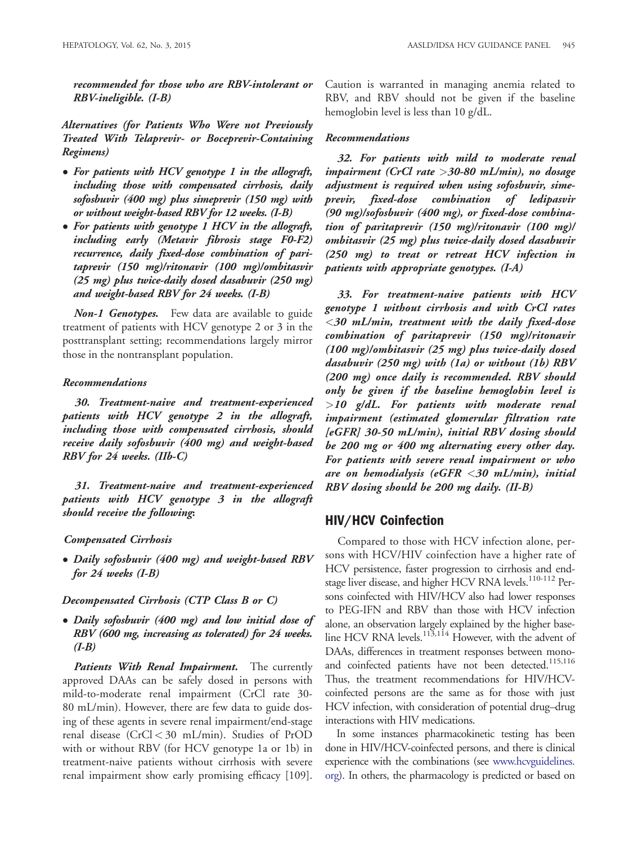recommended for those who are RBV-intolerant or RBV-ineligible. (I-B)

Alternatives (for Patients Who Were not Previously Treated With Telaprevir- or Boceprevir-Containing Regimens)

- For patients with HCV genotype 1 in the allograft, including those with compensated cirrhosis, daily sofosbuvir (400 mg) plus simeprevir (150 mg) with or without weight-based RBV for 12 weeks. (I-B)
- For patients with genotype 1 HCV in the allograft, including early (Metavir fibrosis stage F0-F2) recurrence, daily fixed-dose combination of paritaprevir (150 mg)/ritonavir (100 mg)/ombitasvir (25 mg) plus twice-daily dosed dasabuvir (250 mg) and weight-based RBV for 24 weeks. (I-B)

**Non-1 Genotypes.** Few data are available to guide treatment of patients with HCV genotype 2 or 3 in the posttransplant setting; recommendations largely mirror those in the nontransplant population.

#### Recommendations

30. Treatment-naive and treatment-experienced patients with HCV genotype 2 in the allograft, including those with compensated cirrhosis, should receive daily sofosbuvir (400 mg) and weight-based RBV for 24 weeks. (IIb-C)

31. Treatment-naive and treatment-experienced patients with HCV genotype 3 in the allograft should receive the following:

### Compensated Cirrhosis

- Daily sofosbuvir (400 mg) and weight-based RBV for 24 weeks (I-B)

## Decompensated Cirrhosis (CTP Class B or C)

- Daily sofosbuvir (400 mg) and low initial dose of RBV (600 mg, increasing as tolerated) for 24 weeks.  $(I-B)$ 

Patients With Renal Impairment. The currently approved DAAs can be safely dosed in persons with mild-to-moderate renal impairment (CrCl rate 30- 80 mL/min). However, there are few data to guide dosing of these agents in severe renal impairment/end-stage renal disease (CrCl < 30 mL/min). Studies of PrOD with or without RBV (for HCV genotype 1a or 1b) in treatment-naive patients without cirrhosis with severe renal impairment show early promising efficacy [109].

Caution is warranted in managing anemia related to RBV, and RBV should not be given if the baseline hemoglobin level is less than 10 g/dL.

## Recommendations

32. For patients with mild to moderate renal impairment (CrCl rate >30-80 mL/min), no dosage adjustment is required when using sofosbuvir, simeprevir, fixed-dose combination of ledipasvir (90 mg)/sofosbuvir (400 mg), or fixed-dose combination of paritaprevir (150 mg)/ritonavir (100 mg)/ ombitasvir (25 mg) plus twice-daily dosed dasabuvir (250 mg) to treat or retreat HCV infection in patients with appropriate genotypes. (I-A)

33. For treatment-naive patients with HCV genotype 1 without cirrhosis and with CrCl rates <30 mL/min, treatment with the daily fixed-dose combination of paritaprevir (150 mg)/ritonavir (100 mg)/ombitasvir (25 mg) plus twice-daily dosed dasabuvir (250 mg) with (1a) or without (1b) RBV (200 mg) once daily is recommended. RBV should only be given if the baseline hemoglobin level is  $>$ 10 g/dL. For patients with moderate renal impairment (estimated glomerular filtration rate [eGFR] 30-50 mL/min), initial RBV dosing should be 200 mg or 400 mg alternating every other day. For patients with severe renal impairment or who are on hemodialysis (eGFR <30 mL/min), initial RBV dosing should be 200 mg daily. (II-B)

## HIV/HCV Coinfection

Compared to those with HCV infection alone, persons with HCV/HIV coinfection have a higher rate of HCV persistence, faster progression to cirrhosis and endstage liver disease, and higher HCV RNA levels.<sup>110-112</sup> Persons coinfected with HIV/HCV also had lower responses to PEG-IFN and RBV than those with HCV infection alone, an observation largely explained by the higher baseline HCV RNA levels.<sup>113,114</sup> However, with the advent of DAAs, differences in treatment responses between monoand coinfected patients have not been detected.<sup>115,116</sup> Thus, the treatment recommendations for HIV/HCVcoinfected persons are the same as for those with just HCV infection, with consideration of potential drug–drug interactions with HIV medications.

In some instances pharmacokinetic testing has been done in HIV/HCV-coinfected persons, and there is clinical experience with the combinations (see [www.hcvguidelines.](http://www.hcvguidelines.org) [org](http://www.hcvguidelines.org)). In others, the pharmacology is predicted or based on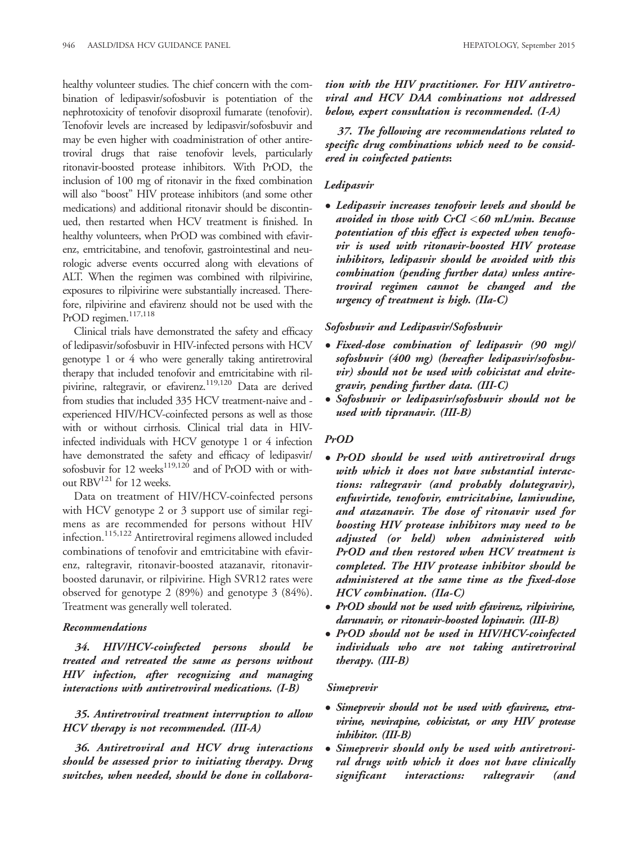healthy volunteer studies. The chief concern with the combination of ledipasvir/sofosbuvir is potentiation of the nephrotoxicity of tenofovir disoproxil fumarate (tenofovir). Tenofovir levels are increased by ledipasvir/sofosbuvir and may be even higher with coadministration of other antiretroviral drugs that raise tenofovir levels, particularly ritonavir-boosted protease inhibitors. With PrOD, the inclusion of 100 mg of ritonavir in the fixed combination will also "boost" HIV protease inhibitors (and some other medications) and additional ritonavir should be discontinued, then restarted when HCV treatment is finished. In healthy volunteers, when PrOD was combined with efavirenz, emtricitabine, and tenofovir, gastrointestinal and neurologic adverse events occurred along with elevations of ALT. When the regimen was combined with rilpivirine, exposures to rilpivirine were substantially increased. Therefore, rilpivirine and efavirenz should not be used with the PrOD regimen.<sup>117,118</sup>

Clinical trials have demonstrated the safety and efficacy of ledipasvir/sofosbuvir in HIV-infected persons with HCV genotype 1 or 4 who were generally taking antiretroviral therapy that included tenofovir and emtricitabine with rilpivirine, raltegravir, or efavirenz.<sup>119,120</sup> Data are derived from studies that included 335 HCV treatment-naive and experienced HIV/HCV-coinfected persons as well as those with or without cirrhosis. Clinical trial data in HIVinfected individuals with HCV genotype 1 or 4 infection have demonstrated the safety and efficacy of ledipasvir/ sofosbuvir for 12 weeks $^{119,120}$  and of PrOD with or without RBV<sup>121</sup> for 12 weeks.

Data on treatment of HIV/HCV-coinfected persons with HCV genotype 2 or 3 support use of similar regimens as are recommended for persons without HIV infection.115,122 Antiretroviral regimens allowed included combinations of tenofovir and emtricitabine with efavirenz, raltegravir, ritonavir-boosted atazanavir, ritonavirboosted darunavir, or rilpivirine. High SVR12 rates were observed for genotype 2 (89%) and genotype 3 (84%). Treatment was generally well tolerated.

## Recommendations

34. HIV/HCV-coinfected persons should be treated and retreated the same as persons without HIV infection, after recognizing and managing interactions with antiretroviral medications. (I-B)

35. Antiretroviral treatment interruption to allow HCV therapy is not recommended. (III-A)

36. Antiretroviral and HCV drug interactions should be assessed prior to initiating therapy. Drug switches, when needed, should be done in collaboration with the HIV practitioner. For HIV antiretroviral and HCV DAA combinations not addressed below, expert consultation is recommended. (I-A)

37. The following are recommendations related to specific drug combinations which need to be considered in coinfected patients:

## Ledipasvir

- Ledipasvir increases tenofovir levels and should be avoided in those with CrCl <60 mL/min. Because potentiation of this effect is expected when tenofovir is used with ritonavir-boosted HIV protease inhibitors, ledipasvir should be avoided with this combination (pending further data) unless antiretroviral regimen cannot be changed and the urgency of treatment is high. (IIa-C)

## Sofosbuvir and Ledipasvir/Sofosbuvir

- Fixed-dose combination of ledipasvir (90 mg)/ sofosbuvir (400 mg) (hereafter ledipasvir/sofosbuvir) should not be used with cobicistat and elvitegravir, pending further data. (III-C)
- Sofosbuvir or ledipasvir/sofosbuvir should not be used with tipranavir. (III-B)

## PrOD

- PrOD should be used with antiretroviral drugs with which it does not have substantial interactions: raltegravir (and probably dolutegravir), enfuvirtide, tenofovir, emtricitabine, lamivudine, and atazanavir. The dose of ritonavir used for boosting HIV protease inhibitors may need to be adjusted (or held) when administered with PrOD and then restored when HCV treatment is completed. The HIV protease inhibitor should be administered at the same time as the fixed-dose HCV combination. (IIa-C)
- PrOD should not be used with efavirenz, rilpivirine, darunavir, or ritonavir-boosted lopinavir. (III-B)
- PrOD should not be used in HIV/HCV-coinfected individuals who are not taking antiretroviral therapy. (III-B)

#### Simeprevir

- Simeprevir should not be used with efavirenz, etravirine, nevirapine, cobicistat, or any HIV protease inhibitor. (III-B)
- Simeprevir should only be used with antiretroviral drugs with which it does not have clinically significant interactions: raltegravir (and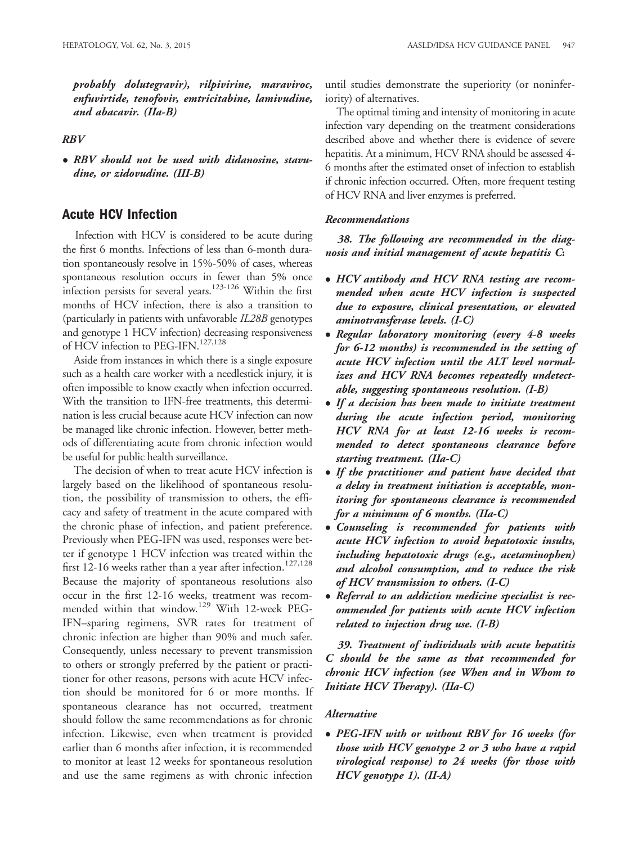probably dolutegravir), rilpivirine, maraviroc, enfuvirtide, tenofovir, emtricitabine, lamivudine, and abacavir. (IIa-B)

RBV

- RBV should not be used with didanosine, stavudine, or zidovudine. (III-B)

# Acute HCV Infection

Infection with HCV is considered to be acute during the first 6 months. Infections of less than 6-month duration spontaneously resolve in 15%-50% of cases, whereas spontaneous resolution occurs in fewer than 5% once infection persists for several years.123-126 Within the first months of HCV infection, there is also a transition to (particularly in patients with unfavorable IL28B genotypes and genotype 1 HCV infection) decreasing responsiveness of HCV infection to PEG-IFN.<sup>127,128</sup>

Aside from instances in which there is a single exposure such as a health care worker with a needlestick injury, it is often impossible to know exactly when infection occurred. With the transition to IFN-free treatments, this determination is less crucial because acute HCV infection can now be managed like chronic infection. However, better methods of differentiating acute from chronic infection would be useful for public health surveillance.

The decision of when to treat acute HCV infection is largely based on the likelihood of spontaneous resolution, the possibility of transmission to others, the efficacy and safety of treatment in the acute compared with the chronic phase of infection, and patient preference. Previously when PEG-IFN was used, responses were better if genotype 1 HCV infection was treated within the first 12-16 weeks rather than a year after infection.<sup>127,128</sup> Because the majority of spontaneous resolutions also occur in the first 12-16 weeks, treatment was recommended within that window.<sup>129</sup> With 12-week PEG-IFN–sparing regimens, SVR rates for treatment of chronic infection are higher than 90% and much safer. Consequently, unless necessary to prevent transmission to others or strongly preferred by the patient or practitioner for other reasons, persons with acute HCV infection should be monitored for 6 or more months. If spontaneous clearance has not occurred, treatment should follow the same recommendations as for chronic infection. Likewise, even when treatment is provided earlier than 6 months after infection, it is recommended to monitor at least 12 weeks for spontaneous resolution and use the same regimens as with chronic infection

until studies demonstrate the superiority (or noninferiority) of alternatives.

The optimal timing and intensity of monitoring in acute infection vary depending on the treatment considerations described above and whether there is evidence of severe hepatitis. At a minimum, HCV RNA should be assessed 4- 6 months after the estimated onset of infection to establish if chronic infection occurred. Often, more frequent testing of HCV RNA and liver enzymes is preferred.

## Recommendations

38. The following are recommended in the diagnosis and initial management of acute hepatitis C:

- HCV antibody and HCV RNA testing are recommended when acute HCV infection is suspected due to exposure, clinical presentation, or elevated aminotransferase levels. (I-C)
- Regular laboratory monitoring (every 4-8 weeks for 6-12 months) is recommended in the setting of acute HCV infection until the ALT level normalizes and HCV RNA becomes repeatedly undetectable, suggesting spontaneous resolution. (I-B)
- If a decision has been made to initiate treatment during the acute infection period, monitoring HCV RNA for at least 12-16 weeks is recommended to detect spontaneous clearance before starting treatment. (IIa-C)
- $\bullet$  If the practitioner and patient have decided that a delay in treatment initiation is acceptable, monitoring for spontaneous clearance is recommended for a minimum of 6 months. (IIa-C)
- Counseling is recommended for patients with acute HCV infection to avoid hepatotoxic insults, including hepatotoxic drugs (e.g., acetaminophen) and alcohol consumption, and to reduce the risk of HCV transmission to others. (I-C)
- Referral to an addiction medicine specialist is recommended for patients with acute HCV infection related to injection drug use. (I-B)

39. Treatment of individuals with acute hepatitis C should be the same as that recommended for chronic HCV infection (see When and in Whom to Initiate HCV Therapy). (IIa-C)

## Alternative

- PEG-IFN with or without RBV for 16 weeks (for those with HCV genotype 2 or 3 who have a rapid virological response) to 24 weeks (for those with HCV genotype 1). (II-A)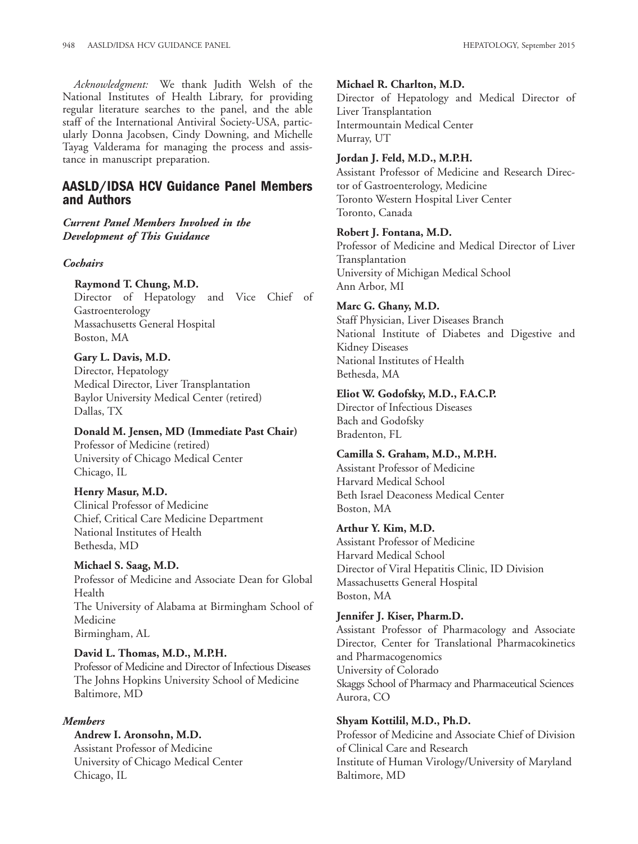Acknowledgment: We thank Judith Welsh of the National Institutes of Health Library, for providing regular literature searches to the panel, and the able staff of the International Antiviral Society-USA, particularly Donna Jacobsen, Cindy Downing, and Michelle Tayag Valderama for managing the process and assistance in manuscript preparation.

# AASLD/IDSA HCV Guidance Panel Members and Authors

Current Panel Members Involved in the Development of This Guidance

# Cochairs

## Raymond T. Chung, M.D.

Director of Hepatology and Vice Chief of Gastroenterology Massachusetts General Hospital Boston, MA

# Gary L. Davis, M.D.

Director, Hepatology Medical Director, Liver Transplantation Baylor University Medical Center (retired) Dallas, TX

# Donald M. Jensen, MD (Immediate Past Chair)

Professor of Medicine (retired) University of Chicago Medical Center Chicago, IL

# Henry Masur, M.D.

Clinical Professor of Medicine Chief, Critical Care Medicine Department National Institutes of Health Bethesda, MD

Michael S. Saag, M.D. Professor of Medicine and Associate Dean for Global Health The University of Alabama at Birmingham School of Medicine Birmingham, AL

# David L. Thomas, M.D., M.P.H. Professor of Medicine and Director of Infectious Diseases The Johns Hopkins University School of Medicine Baltimore, MD

# Members

## Andrew I. Aronsohn, M.D. Assistant Professor of Medicine

University of Chicago Medical Center Chicago, IL

# Michael R. Charlton, M.D.

Director of Hepatology and Medical Director of Liver Transplantation Intermountain Medical Center Murray, UT

# Jordan J. Feld, M.D., M.P.H.

Assistant Professor of Medicine and Research Director of Gastroenterology, Medicine Toronto Western Hospital Liver Center Toronto, Canada

# Robert J. Fontana, M.D.

Professor of Medicine and Medical Director of Liver Transplantation University of Michigan Medical School Ann Arbor, MI

# Marc G. Ghany, M.D.

Staff Physician, Liver Diseases Branch National Institute of Diabetes and Digestive and Kidney Diseases National Institutes of Health Bethesda, MA

# Eliot W. Godofsky, M.D., F.A.C.P.

Director of Infectious Diseases Bach and Godofsky Bradenton, FL

# Camilla S. Graham, M.D., M.P.H.

Assistant Professor of Medicine Harvard Medical School Beth Israel Deaconess Medical Center Boston, MA

# Arthur Y. Kim, M.D.

Assistant Professor of Medicine Harvard Medical School Director of Viral Hepatitis Clinic, ID Division Massachusetts General Hospital Boston, MA

# Jennifer J. Kiser, Pharm.D.

Assistant Professor of Pharmacology and Associate Director, Center for Translational Pharmacokinetics and Pharmacogenomics University of Colorado Skaggs School of Pharmacy and Pharmaceutical Sciences Aurora, CO

# Shyam Kottilil, M.D., Ph.D.

Professor of Medicine and Associate Chief of Division of Clinical Care and Research Institute of Human Virology/University of Maryland Baltimore, MD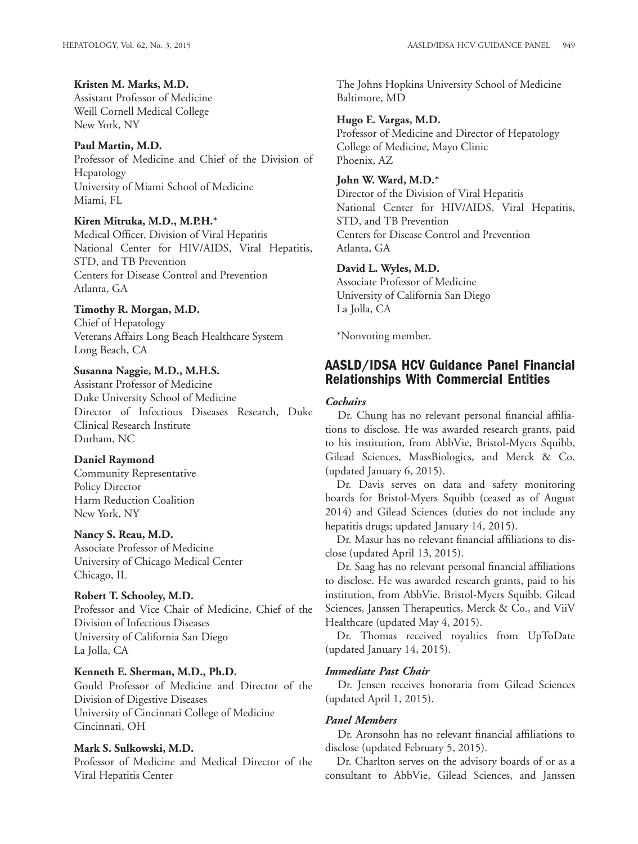Kristen M. Marks, M.D. Assistant Professor of Medicine Weill Cornell Medical College New York, NY

# Paul Martin, M.D.

Professor of Medicine and Chief of the Division of Hepatology University of Miami School of Medicine Miami, FL

# Kiren Mitruka, M.D., M.P.H.\*

Medical Officer, Division of Viral Hepatitis National Center for HIV/AIDS, Viral Hepatitis, STD, and TB Prevention Centers for Disease Control and Prevention Atlanta, GA

# Timothy R. Morgan, M.D.

Chief of Hepatology Veterans Affairs Long Beach Healthcare System Long Beach, CA

# Susanna Naggie, M.D., M.H.S.

Assistant Professor of Medicine Duke University School of Medicine Director of Infectious Diseases Research, Duke Clinical Research Institute Durham, NC

# Daniel Raymond

Community Representative Policy Director Harm Reduction Coalition New York, NY

# Nancy S. Reau, M.D.

Associate Professor of Medicine University of Chicago Medical Center Chicago, IL

# Robert T. Schooley, M.D.

Professor and Vice Chair of Medicine, Chief of the Division of Infectious Diseases University of California San Diego La Jolla, CA

# Kenneth E. Sherman, M.D., Ph.D.

Gould Professor of Medicine and Director of the Division of Digestive Diseases University of Cincinnati College of Medicine Cincinnati, OH

# Mark S. Sulkowski, M.D.

Professor of Medicine and Medical Director of the Viral Hepatitis Center

The Johns Hopkins University School of Medicine Baltimore, MD

Hugo E. Vargas, M.D. Professor of Medicine and Director of Hepatology College of Medicine, Mayo Clinic Phoenix, AZ

# John W. Ward, M.D.\*

Director of the Division of Viral Hepatitis National Center for HIV/AIDS, Viral Hepatitis, STD, and TB Prevention Centers for Disease Control and Prevention Atlanta, GA

# David L. Wyles, M.D.

Associate Professor of Medicine University of California San Diego La Jolla, CA

\*Nonvoting member.

# AASLD/IDSA HCV Guidance Panel Financial Relationships With Commercial Entities

## **Cochairs**

Dr. Chung has no relevant personal financial affiliations to disclose. He was awarded research grants, paid to his institution, from AbbVie, Bristol-Myers Squibb, Gilead Sciences, MassBiologics, and Merck & Co. (updated January 6, 2015).

Dr. Davis serves on data and safety monitoring boards for Bristol-Myers Squibb (ceased as of August 2014) and Gilead Sciences (duties do not include any hepatitis drugs; updated January 14, 2015).

Dr. Masur has no relevant financial affiliations to disclose (updated April 13, 2015).

Dr. Saag has no relevant personal financial affiliations to disclose. He was awarded research grants, paid to his institution, from AbbVie, Bristol-Myers Squibb, Gilead Sciences, Janssen Therapeutics, Merck & Co., and ViiV Healthcare (updated May 4, 2015).

Dr. Thomas received royalties from UpToDate (updated January 14, 2015).

# Immediate Past Chair

Dr. Jensen receives honoraria from Gilead Sciences (updated April 1, 2015).

# Panel Members

Dr. Aronsohn has no relevant financial affiliations to disclose (updated February 5, 2015).

Dr. Charlton serves on the advisory boards of or as a consultant to AbbVie, Gilead Sciences, and Janssen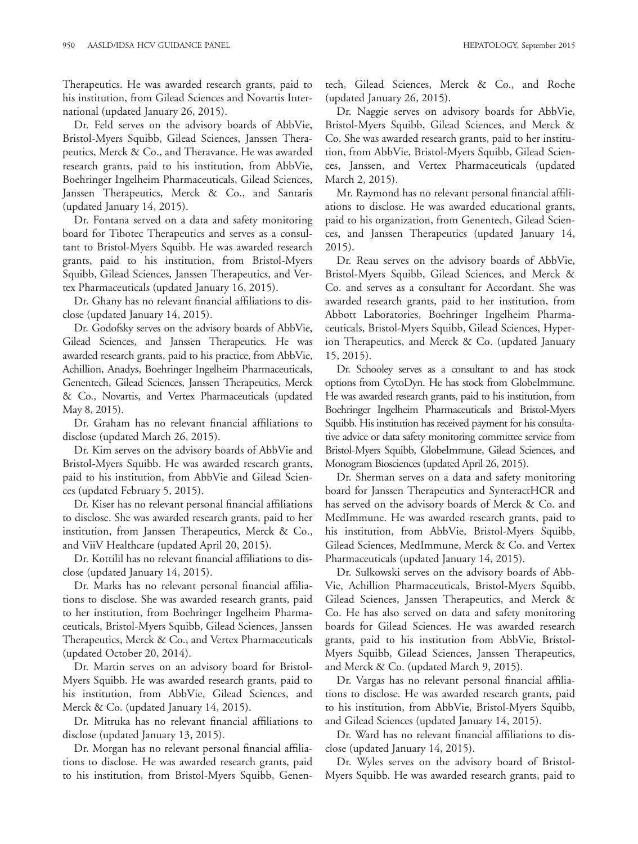Therapeutics. He was awarded research grants, paid to his institution, from Gilead Sciences and Novartis International (updated January 26, 2015).

Dr. Feld serves on the advisory boards of AbbVie, Bristol-Myers Squibb, Gilead Sciences, Janssen Therapeutics, Merck & Co., and Theravance. He was awarded research grants, paid to his institution, from AbbVie, Boehringer Ingelheim Pharmaceuticals, Gilead Sciences, Janssen Therapeutics, Merck & Co., and Santaris (updated January 14, 2015).

Dr. Fontana served on a data and safety monitoring board for Tibotec Therapeutics and serves as a consultant to Bristol-Myers Squibb. He was awarded research grants, paid to his institution, from Bristol-Myers Squibb, Gilead Sciences, Janssen Therapeutics, and Vertex Pharmaceuticals (updated January 16, 2015).

Dr. Ghany has no relevant financial affiliations to disclose (updated January 14, 2015).

Dr. Godofsky serves on the advisory boards of AbbVie, Gilead Sciences, and Janssen Therapeutics. He was awarded research grants, paid to his practice, from AbbVie, Achillion, Anadys, Boehringer Ingelheim Pharmaceuticals, Genentech, Gilead Sciences, Janssen Therapeutics, Merck & Co., Novartis, and Vertex Pharmaceuticals (updated May 8, 2015).

Dr. Graham has no relevant financial affiliations to disclose (updated March 26, 2015).

Dr. Kim serves on the advisory boards of AbbVie and Bristol-Myers Squibb. He was awarded research grants, paid to his institution, from AbbVie and Gilead Sciences (updated February 5, 2015).

Dr. Kiser has no relevant personal financial affiliations to disclose. She was awarded research grants, paid to her institution, from Janssen Therapeutics, Merck & Co., and ViiV Healthcare (updated April 20, 2015).

Dr. Kottilil has no relevant financial affiliations to disclose (updated January 14, 2015).

Dr. Marks has no relevant personal financial affiliations to disclose. She was awarded research grants, paid to her institution, from Boehringer Ingelheim Pharmaceuticals, Bristol-Myers Squibb, Gilead Sciences, Janssen Therapeutics, Merck & Co., and Vertex Pharmaceuticals (updated October 20, 2014).

Dr. Martin serves on an advisory board for Bristol-Myers Squibb. He was awarded research grants, paid to his institution, from AbbVie, Gilead Sciences, and Merck & Co. (updated January 14, 2015).

Dr. Mitruka has no relevant financial affiliations to disclose (updated January 13, 2015).

Dr. Morgan has no relevant personal financial affiliations to disclose. He was awarded research grants, paid to his institution, from Bristol-Myers Squibb, Genentech, Gilead Sciences, Merck & Co., and Roche (updated January 26, 2015).

Dr. Naggie serves on advisory boards for AbbVie, Bristol-Myers Squibb, Gilead Sciences, and Merck & Co. She was awarded research grants, paid to her institution, from AbbVie, Bristol-Myers Squibb, Gilead Sciences, Janssen, and Vertex Pharmaceuticals (updated March 2, 2015).

Mr. Raymond has no relevant personal financial affiliations to disclose. He was awarded educational grants, paid to his organization, from Genentech, Gilead Sciences, and Janssen Therapeutics (updated January 14, 2015).

Dr. Reau serves on the advisory boards of AbbVie, Bristol-Myers Squibb, Gilead Sciences, and Merck & Co. and serves as a consultant for Accordant. She was awarded research grants, paid to her institution, from Abbott Laboratories, Boehringer Ingelheim Pharmaceuticals, Bristol-Myers Squibb, Gilead Sciences, Hyperion Therapeutics, and Merck & Co. (updated January 15, 2015).

Dr. Schooley serves as a consultant to and has stock options from CytoDyn. He has stock from GlobeImmune. He was awarded research grants, paid to his institution, from Boehringer Ingelheim Pharmaceuticals and Bristol-Myers Squibb. His institution has received payment for his consultative advice or data safety monitoring committee service from Bristol-Myers Squibb, GlobeImmune, Gilead Sciences, and Monogram Biosciences (updated April 26, 2015).

Dr. Sherman serves on a data and safety monitoring board for Janssen Therapeutics and SynteractHCR and has served on the advisory boards of Merck & Co. and MedImmune. He was awarded research grants, paid to his institution, from AbbVie, Bristol-Myers Squibb, Gilead Sciences, MedImmune, Merck & Co. and Vertex Pharmaceuticals (updated January 14, 2015).

Dr. Sulkowski serves on the advisory boards of Abb-Vie, Achillion Pharmaceuticals, Bristol-Myers Squibb, Gilead Sciences, Janssen Therapeutics, and Merck & Co. He has also served on data and safety monitoring boards for Gilead Sciences. He was awarded research grants, paid to his institution from AbbVie, Bristol-Myers Squibb, Gilead Sciences, Janssen Therapeutics, and Merck & Co. (updated March 9, 2015).

Dr. Vargas has no relevant personal financial affiliations to disclose. He was awarded research grants, paid to his institution, from AbbVie, Bristol-Myers Squibb, and Gilead Sciences (updated January 14, 2015).

Dr. Ward has no relevant financial affiliations to disclose (updated January 14, 2015).

Dr. Wyles serves on the advisory board of Bristol-Myers Squibb. He was awarded research grants, paid to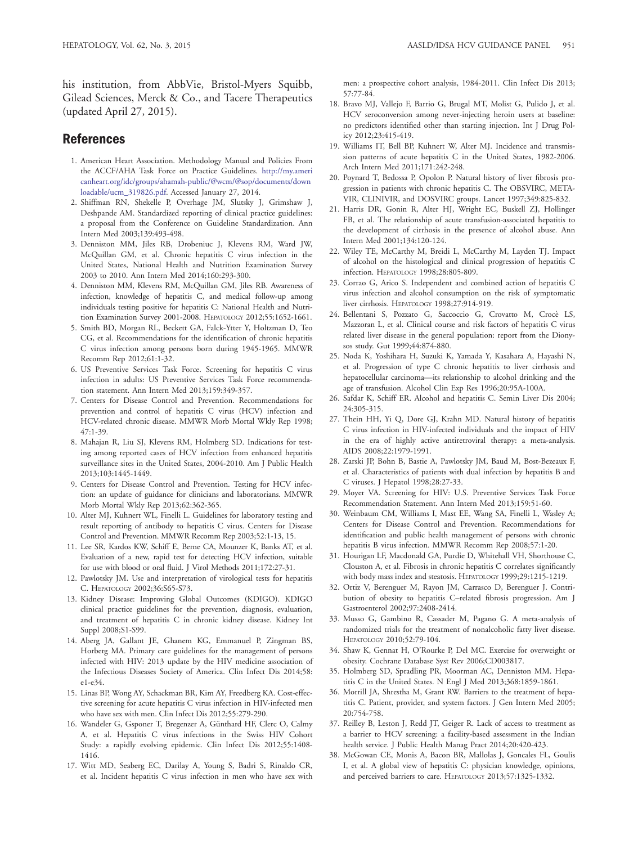# References

- 1. American Heart Association. Methodology Manual and Policies From the ACCF/AHA Task Force on Practice Guidelines. [http://my.ameri](http://my.americanheart.org/idc/groups/ahamah-public///documents/downloadable/ucm_319826.pdf) [canheart.org/idc/groups/ahamah-public/@wcm/@sop/documents/down](http://my.americanheart.org/idc/groups/ahamah-public///documents/downloadable/ucm_319826.pdf) [loadable/ucm\\_319826.pdf](http://my.americanheart.org/idc/groups/ahamah-public///documents/downloadable/ucm_319826.pdf). Accessed January 27, 2014.
- 2. Shiffman RN, Shekelle P, Overhage JM, Slutsky J, Grimshaw J, Deshpande AM. Standardized reporting of clinical practice guidelines: a proposal from the Conference on Guideline Standardization. Ann Intern Med 2003;139:493-498.
- 3. Denniston MM, Jiles RB, Drobeniuc J, Klevens RM, Ward JW, McQuillan GM, et al. Chronic hepatitis C virus infection in the United States, National Health and Nutrition Examination Survey 2003 to 2010. Ann Intern Med 2014;160:293-300.
- 4. Denniston MM, Klevens RM, McQuillan GM, Jiles RB. Awareness of infection, knowledge of hepatitis C, and medical follow-up among individuals testing positive for hepatitis C: National Health and Nutrition Examination Survey 2001-2008. HEPATOLOGY 2012;55:1652-1661.
- 5. Smith BD, Morgan RL, Beckett GA, Falck-Ytter Y, Holtzman D, Teo CG, et al. Recommendations for the identification of chronic hepatitis C virus infection among persons born during 1945-1965. MMWR Recomm Rep 2012;61:1-32.
- 6. US Preventive Services Task Force. Screening for hepatitis C virus infection in adults: US Preventive Services Task Force recommendation statement. Ann Intern Med 2013;159:349-357.
- 7. Centers for Disease Control and Prevention. Recommendations for prevention and control of hepatitis C virus (HCV) infection and HCV-related chronic disease. MMWR Morb Mortal Wkly Rep 1998; 47:1-39.
- 8. Mahajan R, Liu SJ, Klevens RM, Holmberg SD. Indications for testing among reported cases of HCV infection from enhanced hepatitis surveillance sites in the United States, 2004-2010. Am J Public Health 2013;103:1445-1449.
- 9. Centers for Disease Control and Prevention. Testing for HCV infection: an update of guidance for clinicians and laboratorians. MMWR Morb Mortal Wkly Rep 2013;62:362-365.
- 10. Alter MJ, Kuhnert WL, Finelli L. Guidelines for laboratory testing and result reporting of antibody to hepatitis C virus. Centers for Disease Control and Prevention. MMWR Recomm Rep 2003;52:1-13, 15.
- 11. Lee SR, Kardos KW, Schiff E, Berne CA, Mounzer K, Banks AT, et al. Evaluation of a new, rapid test for detecting HCV infection, suitable for use with blood or oral fluid. J Virol Methods 2011;172:27-31.
- 12. Pawlotsky JM. Use and interpretation of virological tests for hepatitis C. HEPATOLOGY 2002;36:S65-S73.
- 13. Kidney Disease: Improving Global Outcomes (KDIGO). KDIGO clinical practice guidelines for the prevention, diagnosis, evaluation, and treatment of hepatitis C in chronic kidney disease. Kidney Int Suppl 2008;S1-S99.
- 14. Aberg JA, Gallant JE, Ghanem KG, Emmanuel P, Zingman BS, Horberg MA. Primary care guidelines for the management of persons infected with HIV: 2013 update by the HIV medicine association of the Infectious Diseases Society of America. Clin Infect Dis 2014;58: e1-e34.
- 15. Linas BP, Wong AY, Schackman BR, Kim AY, Freedberg KA. Cost-effective screening for acute hepatitis C virus infection in HIV-infected men who have sex with men. Clin Infect Dis 2012;55:279-290.
- 16. Wandeler G, Gsponer T, Bregenzer A, Günthard HF, Clerc O, Calmy A, et al. Hepatitis C virus infections in the Swiss HIV Cohort Study: a rapidly evolving epidemic. Clin Infect Dis 2012;55:1408- 1416.
- 17. Witt MD, Seaberg EC, Darilay A, Young S, Badri S, Rinaldo CR, et al. Incident hepatitis C virus infection in men who have sex with

men: a prospective cohort analysis, 1984-2011. Clin Infect Dis 2013; 57:77-84.

- 18. Bravo MJ, Vallejo F, Barrio G, Brugal MT, Molist G, Pulido J, et al. HCV seroconversion among never-injecting heroin users at baseline: no predictors identified other than starting injection. Int J Drug Policy 2012;23:415-419.
- 19. Williams IT, Bell BP, Kuhnert W, Alter MJ. Incidence and transmission patterns of acute hepatitis C in the United States, 1982-2006. Arch Intern Med 2011;171:242-248.
- 20. Poynard T, Bedossa P, Opolon P. Natural history of liver fibrosis progression in patients with chronic hepatitis C. The OBSVIRC, META-VIR, CLINIVIR, and DOSVIRC groups. Lancet 1997;349:825-832.
- 21. Harris DR, Gonin R, Alter HJ, Wright EC, Buskell ZJ, Hollinger FB, et al. The relationship of acute transfusion-associated hepatitis to the development of cirrhosis in the presence of alcohol abuse. Ann Intern Med 2001;134:120-124.
- 22. Wiley TE, McCarthy M, Breidi L, McCarthy M, Layden TJ. Impact of alcohol on the histological and clinical progression of hepatitis C infection. HEPATOLOGY 1998;28:805-809.
- 23. Corrao G, Arico S. Independent and combined action of hepatitis C virus infection and alcohol consumption on the risk of symptomatic liver cirrhosis. HEPATOLOGY 1998;27:914-919.
- 24. Bellentani S, Pozzato G, Saccoccio G, Crovatto M, Croce` LS, Mazzoran L, et al. Clinical course and risk factors of hepatitis C virus related liver disease in the general population: report from the Dionysos study. Gut 1999;44:874-880.
- 25. Noda K, Yoshihara H, Suzuki K, Yamada Y, Kasahara A, Hayashi N, et al. Progression of type C chronic hepatitis to liver cirrhosis and hepatocellular carcinoma—its relationship to alcohol drinking and the age of transfusion. Alcohol Clin Exp Res 1996;20:95A-100A.
- 26. Safdar K, Schiff ER. Alcohol and hepatitis C. Semin Liver Dis 2004; 24:305-315.
- 27. Thein HH, Yi Q, Dore GJ, Krahn MD. Natural history of hepatitis C virus infection in HIV-infected individuals and the impact of HIV in the era of highly active antiretroviral therapy: a meta-analysis. AIDS 2008;22:1979-1991.
- 28. Zarski JP, Bohn B, Bastie A, Pawlotsky JM, Baud M, Bost-Bezeaux F, et al. Characteristics of patients with dual infection by hepatitis B and C viruses. J Hepatol 1998;28:27-33.
- 29. Moyer VA. Screening for HIV: U.S. Preventive Services Task Force Recommendation Statement. Ann Intern Med 2013;159:51-60.
- 30. Weinbaum CM, Williams I, Mast EE, Wang SA, Finelli L, Wasley A; Centers for Disease Control and Prevention. Recommendations for identification and public health management of persons with chronic hepatitis B virus infection. MMWR Recomm Rep 2008;57:1-20.
- 31. Hourigan LF, Macdonald GA, Purdie D, Whitehall VH, Shorthouse C, Clouston A, et al. Fibrosis in chronic hepatitis C correlates significantly with body mass index and steatosis. HEPATOLOGY 1999;29:1215-1219.
- 32. Ortiz V, Berenguer M, Rayon JM, Carrasco D, Berenguer J. Contribution of obesity to hepatitis C–related fibrosis progression. Am J Gastroenterol 2002;97:2408-2414.
- 33. Musso G, Gambino R, Cassader M, Pagano G. A meta-analysis of randomized trials for the treatment of nonalcoholic fatty liver disease. HEPATOLOGY 2010;52:79-104.
- 34. Shaw K, Gennat H, O'Rourke P, Del MC. Exercise for overweight or obesity. Cochrane Database Syst Rev 2006;CD003817.
- 35. Holmberg SD, Spradling PR, Moorman AC, Denniston MM. Hepatitis C in the United States. N Engl J Med 2013;368:1859-1861.
- 36. Morrill JA, Shrestha M, Grant RW. Barriers to the treatment of hepatitis C. Patient, provider, and system factors. J Gen Intern Med 2005; 20:754-758.
- 37. Reilley B, Leston J, Redd JT, Geiger R. Lack of access to treatment as a barrier to HCV screening: a facility-based assessment in the Indian health service. J Public Health Manag Pract 2014;20:420-423.
- 38. McGowan CE, Monis A, Bacon BR, Mallolas J, Goncales FL, Goulis I, et al. A global view of hepatitis C: physician knowledge, opinions, and perceived barriers to care. HEPATOLOGY 2013;57:1325-1332.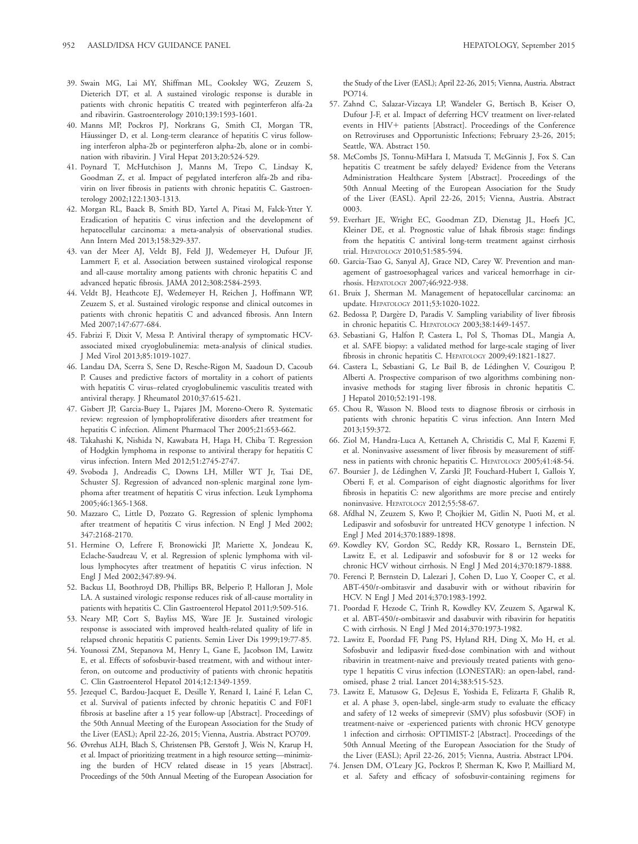- 39. Swain MG, Lai MY, Shiffman ML, Cooksley WG, Zeuzem S, Dieterich DT, et al. A sustained virologic response is durable in patients with chronic hepatitis C treated with peginterferon alfa-2a and ribavirin. Gastroenterology 2010;139:1593-1601.
- 40. Manns MP, Pockros PJ, Norkrans G, Smith CI, Morgan TR, Häussinger D, et al. Long-term clearance of hepatitis C virus following interferon alpha-2b or peginterferon alpha-2b, alone or in combination with ribavirin. J Viral Hepat 2013;20:524-529.
- 41. Poynard T, McHutchison J, Manns M, Trepo C, Lindsay K, Goodman Z, et al. Impact of pegylated interferon alfa-2b and ribavirin on liver fibrosis in patients with chronic hepatitis C. Gastroenterology 2002;122:1303-1313.
- 42. Morgan RL, Baack B, Smith BD, Yartel A, Pitasi M, Falck-Ytter Y. Eradication of hepatitis C virus infection and the development of hepatocellular carcinoma: a meta-analysis of observational studies. Ann Intern Med 2013;158:329-337.
- 43. van der Meer AJ, Veldt BJ, Feld JJ, Wedemeyer H, Dufour JF, Lammert F, et al. Association between sustained virological response and all-cause mortality among patients with chronic hepatitis C and advanced hepatic fibrosis. JAMA 2012;308:2584-2593.
- 44. Veldt BJ, Heathcote EJ, Wedemeyer H, Reichen J, Hoffmann WP, Zeuzem S, et al. Sustained virologic response and clinical outcomes in patients with chronic hepatitis C and advanced fibrosis. Ann Intern Med 2007;147:677-684.
- 45. Fabrizi F, Dixit V, Messa P. Antiviral therapy of symptomatic HCVassociated mixed cryoglobulinemia: meta-analysis of clinical studies. J Med Virol 2013;85:1019-1027.
- 46. Landau DA, Scerra S, Sene D, Resche-Rigon M, Saadoun D, Cacoub P. Causes and predictive factors of mortality in a cohort of patients with hepatitis C virus–related cryoglobulinemic vasculitis treated with antiviral therapy. J Rheumatol 2010;37:615-621.
- 47. Gisbert JP, Garcia-Buey L, Pajares JM, Moreno-Otero R. Systematic review: regression of lymphoproliferative disorders after treatment for hepatitis C infection. Aliment Pharmacol Ther 2005;21:653-662.
- 48. Takahashi K, Nishida N, Kawabata H, Haga H, Chiba T. Regression of Hodgkin lymphoma in response to antiviral therapy for hepatitis C virus infection. Intern Med 2012;51:2745-2747.
- 49. Svoboda J, Andreadis C, Downs LH, Miller WT Jr, Tsai DE, Schuster SJ. Regression of advanced non-splenic marginal zone lymphoma after treatment of hepatitis C virus infection. Leuk Lymphoma 2005;46:1365-1368.
- 50. Mazzaro C, Little D, Pozzato G. Regression of splenic lymphoma after treatment of hepatitis C virus infection. N Engl J Med 2002; 347:2168-2170.
- 51. Hermine O, Lefrere F, Bronowicki JP, Mariette X, Jondeau K, Eclache-Saudreau V, et al. Regression of splenic lymphoma with villous lymphocytes after treatment of hepatitis C virus infection. N Engl J Med 2002;347:89-94.
- 52. Backus LI, Boothroyd DB, Phillips BR, Belperio P, Halloran J, Mole LA. A sustained virologic response reduces risk of all-cause mortality in patients with hepatitis C. Clin Gastroenterol Hepatol 2011;9:509-516.
- 53. Neary MP, Cort S, Bayliss MS, Ware JE Jr. Sustained virologic response is associated with improved health-related quality of life in relapsed chronic hepatitis C patients. Semin Liver Dis 1999;19:77-85.
- 54. Younossi ZM, Stepanova M, Henry L, Gane E, Jacobson IM, Lawitz E, et al. Effects of sofosbuvir-based treatment, with and without interferon, on outcome and productivity of patients with chronic hepatitis C. Clin Gastroenterol Hepatol 2014;12:1349-1359.
- 55. Jezequel C, Bardou-Jacquet E, Desille Y, Renard I, Lainé F, Lelan C, et al. Survival of patients infected by chronic hepatitis C and F0F1 fibrosis at baseline after a 15 year follow-up [Abstract]. Proceedings of the 50th Annual Meeting of the European Association for the Study of the Liver (EASL); April 22-26, 2015; Vienna, Austria. Abstract PO709.
- 56. Øvrehus ALH, Blach S, Christensen PB, Gerstoft J, Weis N, Krarup H, et al. Impact of prioritizing treatment in a high resource setting—minimizing the burden of HCV related disease in 15 years [Abstract]. Proceedings of the 50th Annual Meeting of the European Association for

the Study of the Liver (EASL); April 22-26, 2015; Vienna, Austria. Abstract PO714.

- 57. Zahnd C, Salazar-Vizcaya LP, Wandeler G, Bertisch B, Keiser O, Dufour J-F, et al. Impact of deferring HCV treatment on liver-related events in HIV+ patients [Abstract]. Proceedings of the Conference on Retroviruses and Opportunistic Infections; February 23-26, 2015; Seattle, WA. Abstract 150.
- 58. McCombs JS, Tonnu-MiHara I, Matsuda T, McGinnis J, Fox S. Can hepatitis C treatment be safely delayed? Evidence from the Veterans Administration Healthcare System [Abstract]. Proceedings of the 50th Annual Meeting of the European Association for the Study of the Liver (EASL). April 22-26, 2015; Vienna, Austria. Abstract 0003.
- 59. Everhart JE, Wright EC, Goodman ZD, Dienstag JL, Hoefs JC, Kleiner DE, et al. Prognostic value of Ishak fibrosis stage: findings from the hepatitis C antiviral long-term treatment against cirrhosis trial. HEPATOLOGY 2010;51:585-594.
- 60. Garcia-Tsao G, Sanyal AJ, Grace ND, Carey W. Prevention and management of gastroesophageal varices and variceal hemorrhage in cirrhosis. HEPATOLOGY 2007;46:922-938.
- 61. Bruix J, Sherman M. Management of hepatocellular carcinoma: an update. HEPATOLOGY 2011;53:1020-1022.
- 62. Bedossa P, Dargère D, Paradis V. Sampling variability of liver fibrosis in chronic hepatitis C. HEPATOLOGY 2003;38:1449-1457.
- 63. Sebastiani G, Halfon P, Castera L, Pol S, Thomas DL, Mangia A, et al. SAFE biopsy: a validated method for large-scale staging of liver fibrosis in chronic hepatitis C. HEPATOLOGY 2009;49:1821-1827.
- 64. Castera L, Sebastiani G, Le Bail B, de Lédinghen V, Couzigou P, Alberti A. Prospective comparison of two algorithms combining noninvasive methods for staging liver fibrosis in chronic hepatitis C. J Hepatol 2010;52:191-198.
- 65. Chou R, Wasson N. Blood tests to diagnose fibrosis or cirrhosis in patients with chronic hepatitis C virus infection. Ann Intern Med 2013;159:372.
- 66. Ziol M, Handra-Luca A, Kettaneh A, Christidis C, Mal F, Kazemi F, et al. Noninvasive assessment of liver fibrosis by measurement of stiffness in patients with chronic hepatitis C. HEPATOLOGY 2005;41:48-54.
- 67. Boursier J, de Lédinghen V, Zarski JP, Fouchard-Hubert I, Gallois Y, Oberti F, et al. Comparison of eight diagnostic algorithms for liver fibrosis in hepatitis C: new algorithms are more precise and entirely noninvasive. HEPATOLOGY 2012;55:58-67.
- 68. Afdhal N, Zeuzem S, Kwo P, Chojkier M, Gitlin N, Puoti M, et al. Ledipasvir and sofosbuvir for untreated HCV genotype 1 infection. N Engl J Med 2014;370:1889-1898.
- 69. Kowdley KV, Gordon SC, Reddy KR, Rossaro L, Bernstein DE, Lawitz E, et al. Ledipasvir and sofosbuvir for 8 or 12 weeks for chronic HCV without cirrhosis. N Engl J Med 2014;370:1879-1888.
- 70. Ferenci P, Bernstein D, Lalezari J, Cohen D, Luo Y, Cooper C, et al. ABT-450/r-ombitasvir and dasabuvir with or without ribavirin for HCV. N Engl J Med 2014;370:1983-1992.
- 71. Poordad F, Hezode C, Trinh R, Kowdley KV, Zeuzem S, Agarwal K, et al. ABT-450/r-ombitasvir and dasabuvir with ribavirin for hepatitis C with cirrhosis. N Engl J Med 2014;370:1973-1982.
- 72. Lawitz E, Poordad FF, Pang PS, Hyland RH, Ding X, Mo H, et al. Sofosbuvir and ledipasvir fixed-dose combination with and without ribavirin in treatment-naive and previously treated patients with genotype 1 hepatitis C virus infection (LONESTAR): an open-label, randomised, phase 2 trial. Lancet 2014;383:515-523.
- 73. Lawitz E, Matusow G, DeJesus E, Yoshida E, Felizarta F, Ghalib R, et al. A phase 3, open-label, single-arm study to evaluate the efficacy and safety of 12 weeks of simeprevir (SMV) plus sofosbuvir (SOF) in treatment-naive or -experienced patients with chronic HCV genotype 1 infection and cirrhosis: OPTIMIST-2 [Abstract]. Proceedings of the 50th Annual Meeting of the European Association for the Study of the Liver (EASL); April 22-26, 2015; Vienna, Austria. Abstract LP04.
- 74. Jensen DM, O'Leary JG, Pockros P, Sherman K, Kwo P, Mailliard M, et al. Safety and efficacy of sofosbuvir-containing regimens for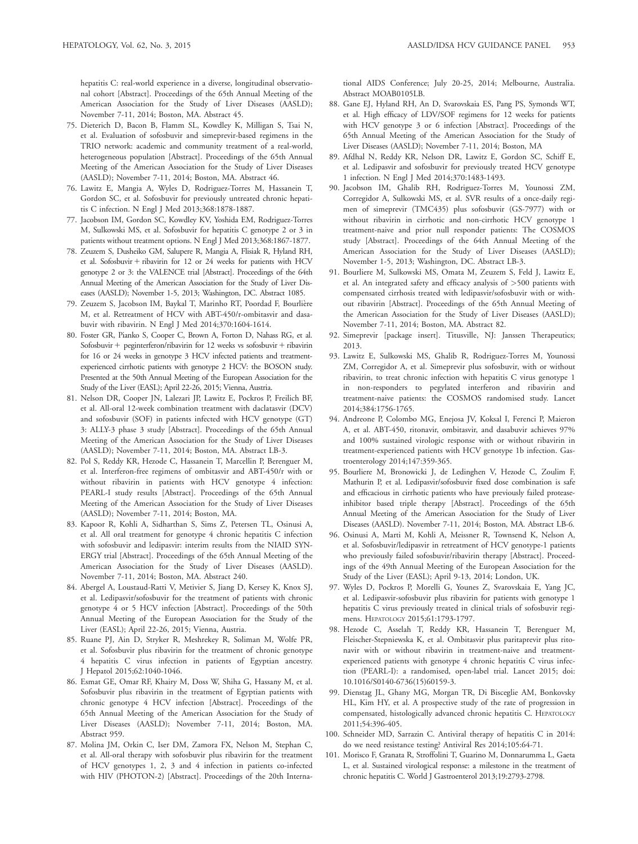hepatitis C: real-world experience in a diverse, longitudinal observational cohort [Abstract]. Proceedings of the 65th Annual Meeting of the American Association for the Study of Liver Diseases (AASLD); November 7-11, 2014; Boston, MA. Abstract 45.

- 75. Dieterich D, Bacon B, Flamm SL, Kowdley K, Milligan S, Tsai N, et al. Evaluation of sofosbuvir and simeprevir-based regimens in the TRIO network: academic and community treatment of a real-world, heterogeneous population [Abstract]. Proceedings of the 65th Annual Meeting of the American Association for the Study of Liver Diseases (AASLD); November 7-11, 2014; Boston, MA. Abstract 46.
- 76. Lawitz E, Mangia A, Wyles D, Rodriguez-Torres M, Hassanein T, Gordon SC, et al. Sofosbuvir for previously untreated chronic hepatitis C infection. N Engl J Med 2013;368:1878-1887.
- 77. Jacobson IM, Gordon SC, Kowdley KV, Yoshida EM, Rodriguez-Torres M, Sulkowski MS, et al. Sofosbuvir for hepatitis C genotype 2 or 3 in patients without treatment options. N Engl J Med 2013;368:1867-1877.
- 78. Zeuzem S, Dusheiko GM, Salupere R, Mangia A, Flisiak R, Hyland RH, et al. Sofosbuvir + ribavirin for 12 or 24 weeks for patients with HCV genotype 2 or 3: the VALENCE trial [Abstract]. Proceedings of the 64th Annual Meeting of the American Association for the Study of Liver Diseases (AASLD); November 1-5, 2013; Washington, DC. Abstract 1085.
- 79. Zeuzem S, Jacobson IM, Baykal T, Marinho RT, Poordad F, Bourlière M, et al. Retreatment of HCV with ABT-450/r-ombitasvir and dasabuvir with ribavirin. N Engl J Med 2014;370:1604-1614.
- 80. Foster GR, Pianko S, Cooper C, Brown A, Forton D, Nahass RG, et al. Sofosbuvir + peginterferon/ribavirin for 12 weeks vs sofosbuvir + ribavirin for 16 or 24 weeks in genotype 3 HCV infected patients and treatmentexperienced cirrhotic patients with genotype 2 HCV: the BOSON study. Presented at the 50th Annual Meeting of the European Association for the Study of the Liver (EASL); April 22-26, 2015; Vienna, Austria.
- 81. Nelson DR, Cooper JN, Lalezari JP, Lawitz E, Pockros P, Freilich BF, et al. All-oral 12-week combination treatment with daclatasvir (DCV) and sofosbuvir (SOF) in patients infected with HCV genotype (GT) 3: ALLY-3 phase 3 study [Abstract]. Proceedings of the 65th Annual Meeting of the American Association for the Study of Liver Diseases (AASLD); November 7-11, 2014; Boston, MA. Abstract LB-3.
- 82. Pol S, Reddy KR, Hezode C, Hassanein T, Marcellin P, Berenguer M, et al. Interferon-free regimens of ombitasvir and ABT-450/r with or without ribavirin in patients with HCV genotype 4 infection: PEARL-I study results [Abstract]. Proceedings of the 65th Annual Meeting of the American Association for the Study of Liver Diseases (AASLD); November 7-11, 2014; Boston, MA.
- 83. Kapoor R, Kohli A, Sidharthan S, Sims Z, Petersen TL, Osinusi A, et al. All oral treatment for genotype 4 chronic hepatitis C infection with sofosbuvir and ledipasvir: interim results from the NIAID SYN-ERGY trial [Abstract]. Proceedings of the 65th Annual Meeting of the American Association for the Study of Liver Diseases (AASLD). November 7-11, 2014; Boston, MA. Abstract 240.
- 84. Abergel A, Loustaud-Ratti V, Metivier S, Jiang D, Kersey K, Knox SJ, et al. Ledipasvir/sofosbuvir for the treatment of patients with chronic genotype 4 or 5 HCV infection [Abstract]. Proceedings of the 50th Annual Meeting of the European Association for the Study of the Liver (EASL); April 22-26, 2015; Vienna, Austria.
- 85. Ruane PJ, Ain D, Stryker R, Meshrekey R, Soliman M, Wolfe PR, et al. Sofosbuvir plus ribavirin for the treatment of chronic genotype 4 hepatitis C virus infection in patients of Egyptian ancestry. J Hepatol 2015;62:1040-1046.
- 86. Esmat GE, Omar RF, Khairy M, Doss W, Shiha G, Hassany M, et al. Sofosbuvir plus ribavirin in the treatment of Egyptian patients with chronic genotype 4 HCV infection [Abstract]. Proceedings of the 65th Annual Meeting of the American Association for the Study of Liver Diseases (AASLD); November 7-11, 2014; Boston, MA. Abstract 959.
- 87. Molina JM, Orkin C, Iser DM, Zamora FX, Nelson M, Stephan C, et al. All-oral therapy with sofosbuvir plus ribavirin for the treatment of HCV genotypes 1, 2, 3 and 4 infection in patients co-infected with HIV (PHOTON-2) [Abstract]. Proceedings of the 20th Interna-

tional AIDS Conference; July 20-25, 2014; Melbourne, Australia. Abstract MOAB0105LB.

- 88. Gane EJ, Hyland RH, An D, Svarovskaia ES, Pang PS, Symonds WT, et al. High efficacy of LDV/SOF regimens for 12 weeks for patients with HCV genotype 3 or 6 infection [Abstract]. Proceedings of the 65th Annual Meeting of the American Association for the Study of Liver Diseases (AASLD); November 7-11, 2014; Boston, MA
- 89. Afdhal N, Reddy KR, Nelson DR, Lawitz E, Gordon SC, Schiff E, et al. Ledipasvir and sofosbuvir for previously treated HCV genotype 1 infection. N Engl J Med 2014;370:1483-1493.
- 90. Jacobson IM, Ghalib RH, Rodriguez-Torres M, Younossi ZM, Corregidor A, Sulkowski MS, et al. SVR results of a once-daily regimen of simeprevir (TMC435) plus sofosbuvir (GS-7977) with or without ribavirin in cirrhotic and non-cirrhotic HCV genotype 1 treatment-naive and prior null responder patients: The COSMOS study [Abstract]. Proceedings of the 64th Annual Meeting of the American Association for the Study of Liver Diseases (AASLD); November 1-5, 2013; Washington, DC. Abstract LB-3.
- 91. Bourliere M, Sulkowski MS, Omata M, Zeuzem S, Feld J, Lawitz E, et al. An integrated safety and efficacy analysis of >500 patients with compensated cirrhosis treated with ledipasvir/sofosbuvir with or without ribavirin [Abstract]. Proceedings of the 65th Annual Meeting of the American Association for the Study of Liver Diseases (AASLD); November 7-11, 2014; Boston, MA. Abstract 82.
- 92. Simeprevir [package insert]. Titusville, NJ: Janssen Therapeutics; 2013.
- 93. Lawitz E, Sulkowski MS, Ghalib R, Rodriguez-Torres M, Younossi ZM, Corregidor A, et al. Simeprevir plus sofosbuvir, with or without ribavirin, to treat chronic infection with hepatitis C virus genotype 1 in non-responders to pegylated interferon and ribavirin and treatment-naive patients: the COSMOS randomised study. Lancet 2014;384:1756-1765.
- 94. Andreone P, Colombo MG, Enejosa JV, Koksal I, Ferenci P, Maieron A, et al. ABT-450, ritonavir, ombitasvir, and dasabuvir achieves 97% and 100% sustained virologic response with or without ribavirin in treatment-experienced patients with HCV genotype 1b infection. Gastroenterology 2014;147:359-365.
- 95. Bourliere M, Bronowicki J, de Ledinghen V, Hezode C, Zoulim F, Mathurin P, et al. Ledipasvir/sofosbuvir fixed dose combination is safe and efficacious in cirrhotic patients who have previously failed proteaseinhibitor based triple therapy [Abstract]. Proceedings of the 65th Annual Meeting of the American Association for the Study of Liver Diseases (AASLD). November 7-11, 2014; Boston, MA. Abstract LB-6.
- 96. Osinusi A, Marti M, Kohli A, Meissner R, Townsend K, Nelson A, et al. Sofosbuvir/ledipasvir in retreatment of HCV genotype-1 patients who previously failed sofosbuvir/ribavirin therapy [Abstract]. Proceedings of the 49th Annual Meeting of the European Association for the Study of the Liver (EASL); April 9-13, 2014; London, UK.
- 97. Wyles D, Pockros P, Morelli G, Younes Z, Svarovskaia E, Yang JC, et al. Ledipasvir-sofosbuvir plus ribavirin for patients with genotype 1 hepatitis C virus previously treated in clinical trials of sofosbuvir regimens. HEPATOLOGY 2015;61:1793-1797.
- 98. Hezode C, Asselah T, Reddy KR, Hassanein T, Berenguer M, Fleischer-Stepniewska K, et al. Ombitasvir plus paritaprevir plus ritonavir with or without ribavirin in treatment-naive and treatmentexperienced patients with genotype 4 chronic hepatitis C virus infection (PEARL-I): a randomised, open-label trial. Lancet 2015; doi: [10.1016/S0140-6736\(15\)60159-3.](info:doi/10.1016/S0140-6736(15)60159-3.)
- 99. Dienstag JL, Ghany MG, Morgan TR, Di Bisceglie AM, Bonkovsky HL, Kim HY, et al. A prospective study of the rate of progression in compensated, histologically advanced chronic hepatitis C. HEPATOLOGY 2011;54:396-405.
- 100. Schneider MD, Sarrazin C. Antiviral therapy of hepatitis C in 2014: do we need resistance testing? Antiviral Res 2014;105:64-71.
- 101. Morisco F, Granata R, Stroffolini T, Guarino M, Donnarumma L, Gaeta L, et al. Sustained virological response: a milestone in the treatment of chronic hepatitis C. World J Gastroenterol 2013;19:2793-2798.